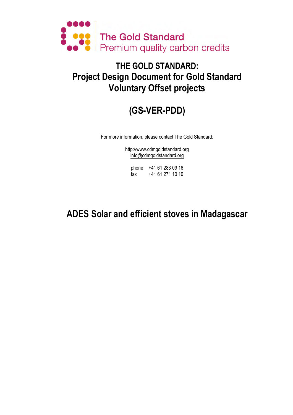

# **THE GOLD STANDARD: Project Design Document for Gold Standard Voluntary Offset projects**

# **(GS-VER-PDD)**

For more information, please contact The Gold Standard:

http://www.cdmgoldstandard.org info@cdmgoldstandard.org

phone +41 61 283 09 16 fax +41 61 271 10 10

# **ADES Solar and efficient stoves in Madagascar**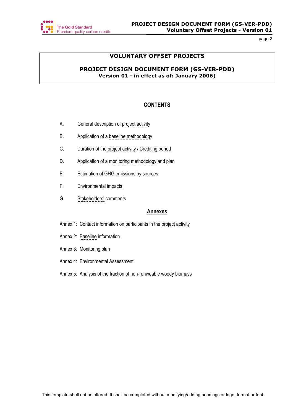

# **VOLUNTARY OFFSET PROJECTS**

# **PROJECT DESIGN DOCUMENT FORM (GS-VER-PDD) Version 01 - in effect as of: January 2006)**

# **CONTENTS**

- A. General description of project activity
- B. Application of a baseline methodology
- C. Duration of the project activity / Crediting period
- D. Application of a monitoring methodology and plan
- E. Estimation of GHG emissions by sources
- F. Environmental impacts
- G. Stakeholders' comments

## **Annexes**

- Annex 1: Contact information on participants in the project activity
- Annex 2: Baseline information
- Annex 3: Monitoring plan
- Annex 4: Environmental Assessment
- Annex 5: Analysis of the fraction of non-renweable woody biomass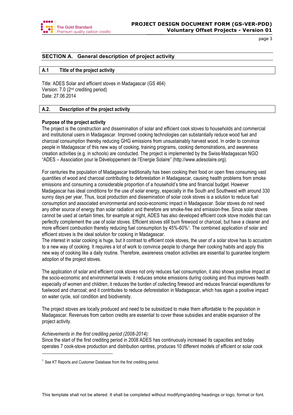

# **SECTION A. General description of project activity**

## **A.1 Title of the project activity**

Title: ADES Solar and efficient stoves in Madagascar (GS 464) Version: 7.0 (2nd crediting period) Date: 27.06.2014

## **A.2. Description of the project activity**

## **Purpose of the project activity**

The project is the construction and dissemination of solar and efficient cook stoves to households and commercial and institutional users in Madagascar. Improved cooking technologies can substantially reduce wood fuel and charcoal consumption thereby reducing GHG emissions from unsustainably harvest wood. In order to convince people in Madagascar of this new way of cooking, training programs, cooking demonstrations, and awareness creation activities (e.g. in schools) are conducted. The project is implemented by the Swiss-Madagascan NGO "ADES – Association pour le Développement de l'Energie Solaire" (http://www.adesolaire.org).

For centuries the population of Madagascar traditionally has been cooking their food on open fires consuming vast quantities of wood and charcoal contributing to deforestation in Madagascar, causing health problems from smoke emissions and consuming a considerable proportion of a household's time and financial budget. However Madagascar has ideal conditions for the use of solar energy, especially in the South and Southwest with around 330 sunny days per year, Thus, local production and dissemination of solar cook stoves is a solution to reduce fuel consumption and associated environmental and socio-economic impact in Madagascar. Solar stoves do not need any other source of energy than solar radiation and therefore are smoke-free and emission-free. Since solar stoves cannot be used at certain times, for example at night, ADES has also developed efficient cook stove models that can perfectly complement the use of solar stoves. Efficient stoves still burn firewood or charcoal, but have a cleaner and more efficient combustion thereby reducing fuel consumption by 45%-60%1. The combined application of solar and efficient stoves is the ideal solution for cooking in Madagascar.

The interest in solar cooking is huge, but it contrast to efficient cook stoves, the user of a solar stove has to accustom to a new way of cooking. It requires a lot of work to convince people to change their cooking habits and apply this new way of cooking like a daily routine. Therefore, awareness creation activities are essential to guarantee longterm adoption of the project stoves.

The application of solar and efficient cook stoves not only reduces fuel consumption, it also shows positive impact at the socio-economic and environmental levels: it reduces smoke emissions during cooking and thus improves health especially of women and children; it reduces the burden of collecting firewood and reduces financial expenditures for fuelwood and charcoal; and it contributes to reduce deforestation in Madagascar, which has again a positive impact on water cycle, soil condition and biodiversity.

The project stoves are locally produced and need to be subsidized to make them affordable to the population in Madagascar. Revenues from carbon credits are essential to cover these subsidies and enable expansion of the project activity.

## *Achievements in the first crediting period (2008-2014):*

 $\overline{a}$ 

Since the start of the first crediting period in 2008 ADES has continuously increased its capacities and today operates 7 cook-stove production and distribution centres, produces 10 different models of efficient or solar cook

 $1$  See KT Reports and Customer Database from the first crediting period.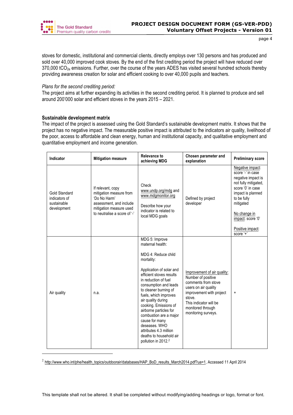

stoves for domestic, institutional and commercial clients, directly employs over 130 persons and has produced and sold over 40,000 improved cook stoves. By the end of the first crediting period the project will have reduced over  $370,000$  tCO<sub>2e</sub> emissions. Further, over the course of the years ADES has visited several hundred schools thereby providing awareness creation for solar and efficient cooking to over 40,000 pupils and teachers.

## *Plans for the second crediting period:*

The project aims at further expanding its activities in the second crediting period. It is planned to produce and sell around 200'000 solar and efficient stoves in the years 2015 – 2021.

## **Sustainable development matrix**

 $\overline{a}$ 

The impact of the project is assessed using the Gold Standard's sustainable development matrix. It shows that the project has no negative impact. The measurable positive impact is attributed to the indicators air quality, livelihood of the poor, access to affordable and clean energy, human and institutional capacity, and qualitative employment and quantitative employment and income generation.

| Indicator                                                           | <b>Mitigation measure</b>                                                                                                                          | <b>Relevance to</b><br>achieving MDG                                                                                                                                                                                                                                                                                                                                                                                                                 | Chosen parameter and<br>explanation                                                                                                                                                                          | <b>Preliminary score</b>                                                                                                                                                                                                        |
|---------------------------------------------------------------------|----------------------------------------------------------------------------------------------------------------------------------------------------|------------------------------------------------------------------------------------------------------------------------------------------------------------------------------------------------------------------------------------------------------------------------------------------------------------------------------------------------------------------------------------------------------------------------------------------------------|--------------------------------------------------------------------------------------------------------------------------------------------------------------------------------------------------------------|---------------------------------------------------------------------------------------------------------------------------------------------------------------------------------------------------------------------------------|
| <b>Gold Standard</b><br>indicators of<br>sustainable<br>development | If relevant, copy<br>mitigation measure from<br>'Do No Harm'<br>assessment, and include<br>mitigation measure used<br>to neutralise a score of '-' | Check<br>www.undp.org/mdg and<br>www.mdgmonitor.org<br>Describe how your<br>indicator is related to<br>local MDG goals                                                                                                                                                                                                                                                                                                                               | Defined by project<br>developer                                                                                                                                                                              | Negative impact:<br>score '-' in case<br>negative impact is<br>not fully mitigated,<br>score '0' in case<br>impact is planned<br>to be fully<br>mitigated<br>No change in<br>impact: score '0'<br>Positive impact:<br>score $4$ |
| Air quality                                                         | n.a.                                                                                                                                               | MDG 5: Improve<br>maternal health:<br>MDG 4: Reduce child<br>mortality:<br>Application of solar and<br>efficient stoves results<br>in reduction of fuel<br>consumption and leads<br>to cleaner burning of<br>fuels, which improves<br>air quality during<br>cooking. Emissions of<br>airborne particles for<br>combustion are a major<br>cause for many<br>deseases. WHO<br>attributes 4.3 million<br>deaths to household air<br>pollution in 2012.2 | Improvement of air quality:<br>Number of positive<br>comments from stove<br>users on air quality<br>improvement with project<br>stove.<br>This indicator will be<br>monitored through<br>monitoring surveys. | $\ddot{}$                                                                                                                                                                                                                       |

<sup>2</sup> http://www.who.int/phe/health\_topics/outdoorair/databases/HAP\_BoD\_results\_March2014.pdf?ua=1, Accessed 11 April 2014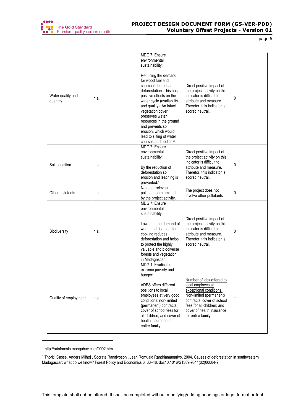

| Water quality and<br>quantity | n.a. | MDG 7: Ensure<br>environmental<br>sustainability:<br>Reducing the demand<br>for wood fuel and<br>charcoal decreases<br>deforestation. This has<br>positive effects on the<br>water cycle (availability<br>and quality): An intact<br>vegetation cover<br>preserves water<br>resources in the ground<br>and prevents soil<br>erosion, which would<br>lead to silting of water<br>courses and bodies. <sup>3</sup> | Direct positive impact of<br>the project activity on this<br>indicator is difficult to<br>attribute and measure.<br>Therefor, this indicator is<br>scored neutral.                                                  | 0         |
|-------------------------------|------|------------------------------------------------------------------------------------------------------------------------------------------------------------------------------------------------------------------------------------------------------------------------------------------------------------------------------------------------------------------------------------------------------------------|---------------------------------------------------------------------------------------------------------------------------------------------------------------------------------------------------------------------|-----------|
| Soil condition                | n.a. | MDG 7: Ensure<br>environmental<br>sustainability:<br>By the reduction of<br>deforestation soil<br>erosion and leaching is<br>prevented. <sup>4</sup>                                                                                                                                                                                                                                                             | Direct positive impact of<br>the project activity on this<br>indicator is difficult to<br>attribute and measure.<br>Therefor, this indicator is<br>scored neutral.                                                  | 0         |
| Other pollutants              | n.a. | No other relevant<br>pollutants are emitted<br>by the project activity.                                                                                                                                                                                                                                                                                                                                          | The project does not<br>involve other pollutants                                                                                                                                                                    | 0         |
| <b>Biodiversity</b>           | n.a. | MDG 7: Ensure<br>environmental<br>sustainability:<br>Lowering the demand of<br>wood and charcoal for<br>cooking reduces<br>deforestation and helps<br>to protect the highly<br>valuable and biodiverse<br>forests and vegetation<br>in Madagascar.                                                                                                                                                               | Direct positive impact of<br>the project activity on this<br>indicator is difficult to<br>attribute and measure.<br>Therefor, this indicator is<br>scored neutral.                                                  | 0         |
| Quality of employment         | n.a. | MDG 1: Eradicate<br>extreme poverty and<br>hunger:<br>ADES offers different<br>positions to local<br>employees at very good<br>conditions: non-limited<br>(permanent) contracts;<br>cover of school fees for<br>all children; and cover of<br>health insurance for<br>entire family.                                                                                                                             | Number of jobs offered to<br>local employes at<br>exceptional conditions:<br>Non-limited (permanent)<br>contracts; cover of school<br>fees for all children; and<br>cover of health insurance<br>for entire family. | $\ddot{}$ |

<sup>3</sup> http://rainforests.mongabay.com/0902.htm

l

<sup>&</sup>lt;sup>4</sup> Thorkil Casse, Anders Milhøj , Socrate Ranaivoson , Jean Romuald Randriamanarivo. 2004. Causes of deforestation in southwestern Madagascar: what do we know? Forest Policy and Economics 6, 33–48. doi:10.1016/S1389-9341(02)00084-9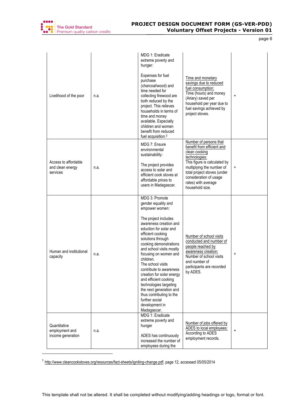

| Livelihood of the poor                               | n.a. | MDG 1: Eradicate<br>extreme poverty and<br>hunger:<br>Expenses for fuel<br>purchase<br>(charcoal/wood) and<br>time needed for<br>collecting firewood are<br>both reduced by the<br>project. This relieves<br>households in terms of<br>time and money<br>available. Especially<br>children and women<br>benefit from reduced<br>fuel acquisition. <sup>5</sup>                                                                                                                                                      | Time and monetary<br>savings due to reduced<br>fuel consumption:<br>Time (hours) and money<br>(Ariary) saved per<br>household per year due to<br>fuel savings achieved by<br>project stoves.                                                           | $\ddot{}$                        |
|------------------------------------------------------|------|---------------------------------------------------------------------------------------------------------------------------------------------------------------------------------------------------------------------------------------------------------------------------------------------------------------------------------------------------------------------------------------------------------------------------------------------------------------------------------------------------------------------|--------------------------------------------------------------------------------------------------------------------------------------------------------------------------------------------------------------------------------------------------------|----------------------------------|
| Access to affordable<br>and clean energy<br>services | n.a. | MDG 7: Ensure<br>environmental<br>sustainability:<br>The project provides<br>access to solar and<br>efficient cook stoves at<br>affordable prices to<br>users in Madagascar.                                                                                                                                                                                                                                                                                                                                        | Number of persons that<br>benefit from efficient and<br>clean cooking<br>technologies:<br>This figure is calculated by<br>multiplying the number of<br>total project stoves (under<br>consideration of usage<br>rates) with average<br>household size. | $\begin{array}{c} + \end{array}$ |
| Human and institutional<br>capacity                  | n.a. | MDG 3: Promote<br>gender equality and<br>empower women:<br>The project includes<br>awareness creation and<br>eduction for solar and<br>efficient cooking<br>solutions through<br>cooking demonstrations<br>and school visits mostly<br>focusing on women and<br>children.<br>The school visits<br>contribute to awareness<br>creation for solar energy<br>and efficient cooking<br>technologies targeting<br>the next generation and<br>thus contributing to the<br>further social<br>development in<br>Madagascar. | Number of school visits<br>conducted and number of<br>people reached by<br>awareness creation:<br>Number of school visits<br>and number of<br>participants are recorded<br>by ADES.                                                                    | $\ddot{}$                        |
| Quantitative<br>employment and<br>income generation  | n.a. | MDG 1: Eradicate<br>extreme poverty and<br>hunger<br>ADES has continuously<br>increased the number of<br>employees during the                                                                                                                                                                                                                                                                                                                                                                                       | Number of jobs offered by<br>ADES to local employees:<br>According to ADES<br>employment records.                                                                                                                                                      | $\ddot{}$                        |

<sup>5</sup> http://www.cleancookstoves.org/resources/fact-sheets/igniting-change.pdf, page 12, accessed 05/05/2014

 $\overline{a}$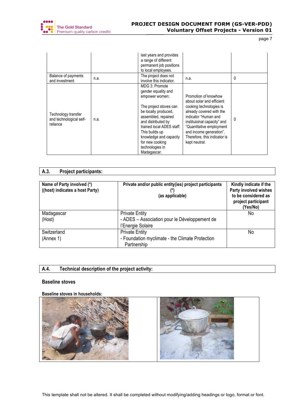

| Balance of payments                                        |      | last years and provides<br>a range of different<br>permanent job positions<br>to local employees.<br>The project does not                                                                                                                                                            |                                                                                                                                                                                                                                                                         |   |
|------------------------------------------------------------|------|--------------------------------------------------------------------------------------------------------------------------------------------------------------------------------------------------------------------------------------------------------------------------------------|-------------------------------------------------------------------------------------------------------------------------------------------------------------------------------------------------------------------------------------------------------------------------|---|
| and investment                                             | n.a. | involve this indicator.                                                                                                                                                                                                                                                              | n.a.                                                                                                                                                                                                                                                                    | 0 |
| Technology transfer<br>and technological self-<br>reliance | n.a. | MDG 3: Promote<br>gender equality and<br>empower women:<br>The project stoves can<br>be locally produced,<br>assembled, repaired<br>and distributed by<br>trained local ADES staff.<br>This builds up<br>knowledge and capacity<br>for new cooking<br>technologies in<br>Madagascar. | Promotion of knowhow<br>about solar and efficient<br>cooking technologies is<br>already covered with the<br>indicator "Human and<br>instituioinal capacity" and<br>"Quantitative employment<br>and income generation".<br>Therefore, this indicator is<br>kept neutral. | 0 |

# **A.3. Project participants:**

| Name of Party involved (*)<br>((host) indicates a host Party) | Private and/or public entity(ies) project participants<br>(as applicable) | Kindly indicate if the<br>Party involved wishes<br>to be considered as<br>project participant<br>(Yes/No) |
|---------------------------------------------------------------|---------------------------------------------------------------------------|-----------------------------------------------------------------------------------------------------------|
| Madagascar                                                    | <b>Private Entity</b>                                                     | No.                                                                                                       |
| (Host)                                                        | - ADES - Association pour le Développement de                             |                                                                                                           |
|                                                               | l'Energie Solaire                                                         |                                                                                                           |
| Switzerland                                                   | <b>Private Entity</b>                                                     | No                                                                                                        |
| (Annex 1)                                                     | - Foundation myclimate - the Climate Protection                           |                                                                                                           |
|                                                               | Partnership                                                               |                                                                                                           |

# **A.4. Technical description of the project activity:**

## **Baseline stoves**

**Baseline stoves in households:**

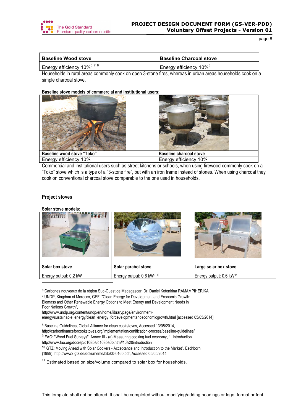

| <b>Baseline Wood stove</b>                              | <b>Baseline Charcoal stove</b>     |
|---------------------------------------------------------|------------------------------------|
| $^{\prime}$ Energy efficiency 10% $^{6}$ <sup>7-8</sup> | Energy efficiency 10% <sup>8</sup> |

Households in rural areas commonly cook on open 3-stone fires, whereas in urban areas households cook on a simple charcoal stove.

#### **Baseline stove models of commercial and institutional users:**



Commercial and institutional users such as street kitchens or schools, when using firewood commonly cook on a "Toko" stove which is a type of a "3-stone fire", but with an iron frame instead of stones. When using charcoal they cook on conventional charcoal stove comparable to the one used in households.

## **Project stoves**

l

**Solar stove models:**

| KURF                  |                           |                                     |
|-----------------------|---------------------------|-------------------------------------|
| Solar box stove       | Solar parabol stove       | Large solar box stove               |
| Energy output: 0.2 kW | Energy output: 0.6 kW9 10 | Energy output: 0.6 kW <sup>11</sup> |

<sup>6</sup> Carbones nouveaux de la région Sud-Ouest de Madagascar. Dr. Daniel Kotonirina RAMAMPIHERIKA

<sup>7</sup> UNDP, Kingdom of Morocco, GEF: "Clean Energy for Development and Economic Growth: Biomass and Other Renewable Energy Options to Meet Energy and Development Needs in Poor Nations Growth",

http://www.undp.org/content/undp/en/home/librarypage/environment-

energy/sustainable\_energy/clean\_energy\_fordevelopmentandeconomicgrowth.html [accessed 05/05/2014]

<sup>8</sup> Baseline Guidelines, Global Alliance for clean cookstoves, Accessed 13/05/2014,

http://carbonfinanceforcookstoves.org/implementation/certification-process/baseline-guidelines/

<sup>9</sup> FAO: "Wood Fuel Surveys", Annex III - (a) Measuring cooking fuel economy, 1. Introduction

http://www.fao.org/docrep/q1085e/q1085e0b.htm#1.%20introduction

<sup>10</sup> GTZ: Moving Ahead with Solar Cookers - Acceptance and Introduction to the Market". Eschborn (1999): http://www2.gtz.de/dokumente/bib/00-0160.pdf, Accessed 05/05/2014

 $11$  Estimated based on size/volume compared to solar box for households.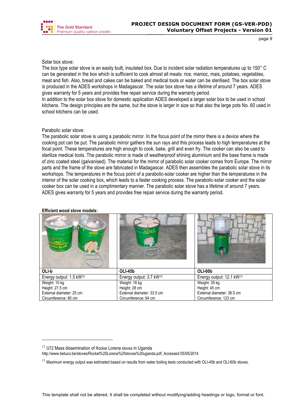

# Solar box stove:

The box type solar stove is an easily built, insulated box. Due to incident solar radiation temperatures up to 150° C can be generated in the box which is sufficient to cook almost all meals: rice, manioc, mais, potatoes, vegetables, meat and fish. Also, bread and cakes can be baked and medical tools or water can be sterilised. The box solar stove is produced in the ADES workshops in Madagascar. The solar box stove has a lifetime of around 7 years. ADES gives warranty for 5 years and provides free repair service during the warranty period.

In addition to the solar box stove for domestic application ADES developed a larger solar box to be used in school kitchens. The design principles are the same, but the stove is larger in size so that also the large pots No. 60 used in school kitchens can be used.

# Parabolic solar stove:

The parabolic solar stove is using a parabolic mirror. In the focus point of the mirror there is a device where the cooking pot can be put. The parabolic mirror gathers the sun rays and this process leads to high temperatures at the focal point. These temperatures are high enough to cook, bake, grill and even fry. The cooker can also be used to sterilize medical tools. The parabolic mirror is made of weatherproof shining aluminium and the base frame is made of zinc coated steel (galvanised). The material for the mirror of parabolic solar cooker comes from Europe. The mirror parts and the frame of the stove are fabricated in Madagascar. ADES then assembles the parabolic solar stove in its workshops. The temperatures in the focus point of a parabolic-solar cooker are higher than the temperatures in the interior of the solar cooking box, which leads to a faster cooking process. The parabolic-solar cooker and the solar cooker box can be used in a complimentary manner. The parabolic solar stove has a lifetime of around 7 years. ADES gives warranty for 5 years and provides free repair service during the warranty period.

|                                     | ADE5                                | <b>ADES</b>                          |
|-------------------------------------|-------------------------------------|--------------------------------------|
| OLI-b                               | OLI-45b                             | OLI-60b                              |
| Energy output: 1.5 kW <sup>12</sup> | Energy output: 3.7 kW <sup>13</sup> | Energy output: 12.1 kW <sup>13</sup> |
| Weight: 10 kg                       | Weight: 16 kg                       | Weight: 35 kg                        |
| Height: 27.5 cm                     | Height: 28 cm                       | Height: 45 cm                        |
| External diameter: 25 cm            | External diameter: 33.5 cm          | External diameter: 38.5 cm           |
| Circumference: 80 cm                | Circumference: 94 cm                | Circumference: 123 cm                |

#### **Efficient wood stove models:**

 $\overline{a}$ 

http://www.betuco.be/stoves/Rocket%20Lorena%20stoves%20uganda.pdf, Accessed 05/05/2014

 $12$  GTZ Mass dissemination of Rocket Lorena stoves in Uganda

<sup>&</sup>lt;sup>13</sup> Maximum energy output was estimated based on results from water boiling tests conducted with OLI-45b and OLI-60b stoves.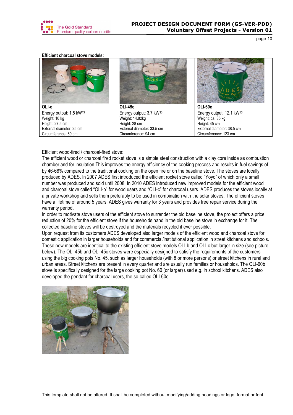

#### **Efficient charcoal stove models:**

| OLI-c                               | <b>OLI-45c</b>                      | OLI-60c                              |
|-------------------------------------|-------------------------------------|--------------------------------------|
| Energy output: 1.5 kW <sup>13</sup> | Energy output: 3.7 kW <sup>13</sup> | Energy output: 12.1 kW <sup>13</sup> |
| Weight: 10 kg                       | Weight: 14.82kg                     | Weight: ca. 35 kg                    |
| Height: 27.5 cm                     | Height: 28 cm                       | Height: 45 cm                        |
| External diameter: 25 cm            | External diameter: 33.5 cm          | External diameter: 38.5 cm           |
| Circumference: 80 cm                | Circumference: 94 cm                | Circumference: 123 cm                |

Efficient wood-fired / charcoal-fired stove:

The efficient wood or charcoal fired rocket stove is a simple steel construction with a clay core inside as combustion chamber and for insulation This improves the energy efficiency of the cooking process and results in fuel savings of by 46-68% compared to the traditional cooking on the open fire or on the baseline stove. The stoves are locally produced by ADES. In 2007 ADES first introduced the efficient rocket stove called "Yoyo" of which only a small number was produced and sold until 2008. In 2010 ADES introduced new improved models for the efficient wood and charcoal stove called "OLI-b" for wood users and "OLI-c" for charcoal users. ADES produces the stoves locally at a private workshop and sells them preferably to be used in combination with the solar stoves. The efficient stoves have a lifetime of around 5 years. ADES gives warranty for 3 years and provides free repair service during the warranty period.

In order to motivate stove users of the efficient stove to surrender the old baseline stove, the project offers a price reduction of 20% for the efficient stove if the households hand in the old baseline stove in exchange for it. The collected baseline stoves will be destroyed and the materials recycled if ever possible.

Upon request from its customers ADES developed also larger models of the efficient wood and charcoal stove for domestic application in larger households and for commercial/institutional application in street kitchens and schools. These new models are identical to the existing efficient stove models OLI-b and OLI-c but larger in size (see picture below). The OLI-45b and OLI-45c stoves were especially designed to satisfy the requirements of the customers using the big cooking pots No. 45, such as larger households (with 8 or more persons) or street kitchens in rural and urban areas. Street kitchens are present in every quarter and are usually run families or households. The OLI-60b stove is specifically designed for the large cooking pot No. 60 (or larger) used e.g. in school kitchens. ADES also developed the pendant for charcoal users, the so-called OLI-60c.

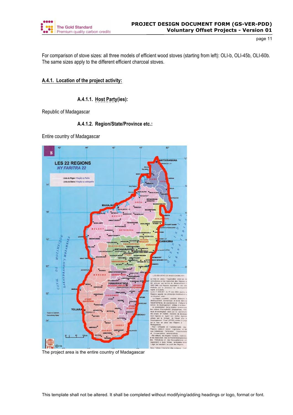

For comparison of stove sizes: all three models of efficient wood stoves (starting from left): OLI-b, OLI-45b, OLI-60b. The same sizes apply to the different efficient charcoal stoves.

# **A.4.1. Location of the project activity:**

# **A.4.1.1. Host Party(ies):**

Republic of Madagascar

# **A.4.1.2. Region/State/Province etc.:**

Entire country of Madagascar



The project area is the entire country of Madagascar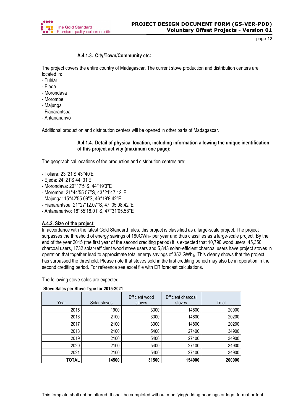

# **A.4.1.3. City/Town/Community etc:**

The project covers the entire country of Madagascar. The current stove production and distribution centers are located in:

- Tuléar
- Ejeda
- Morondava
- Morombe
- Majunga
- Fianarantsoa
- Antananarivo

Additional production and distribution centers will be opened in other parts of Madagascar.

# **A.4.1.4. Detail of physical location, including information allowing the unique identification of this project activity (maximum one page):**

The geographical locations of the production and distribution centres are:

- Toliara: 23°21'S 43°40'E
- Ejeda: 24°21'S 44°31'E
- Morondava: 20°17'5''S, 44°19'3''E
- Morombe: 21°44'55.57''S, 43°21'47.12''E
- Majunga: 15°42'55.09"S, 46°19'8.42"E
- Fianarantsoa: 21°27'12.07''S, 47°05'08.42''E
- Antananarivo: 18°55'18.01''S, 47°31'05.58''E

# **A.4.2. Size of the project:**

In accordance with the latest Gold Standard rules, this project is classified as a large-scale project. The project surpasses the threshold of energy savings of 180GWh<sub>th</sub> per year and thus classifies as a large-scale project. By the end of the year 2015 (the first year of the second crediting period) it is expected that 10,790 wood users, 45,350 charcoal users, 1732 solar+efficient wood stove users and 5,843 solar+efficient charcoal users have project stoves in operation that together lead to approximate total energy savings of 352 GWh<sub>th</sub>. This clearly shows that the project has surpassed the threshold. Please note that stoves sold in the first crediting period may also be in operation in the second crediting period. For reference see excel file with ER forecast calculations.

The following stove sales are expected:

## **Stove Sales per Stove Type for 2015-2021**

| Year  | Solar stoves | Efficient wood<br>stoves | Efficient charcoal<br>stoves | Total  |
|-------|--------------|--------------------------|------------------------------|--------|
| 2015  | 1900         | 3300                     | 14800                        | 20000  |
| 2016  | 2100         | 3300                     | 14800                        | 20200  |
| 2017  | 2100         | 3300                     | 14800                        | 20200  |
| 2018  | 2100         | 5400                     | 27400                        | 34900  |
| 2019  | 2100         | 5400                     | 27400                        | 34900  |
| 2020  | 2100         | 5400                     | 27400                        | 34900  |
| 2021  | 2100         | 5400                     | 27400                        | 34900  |
| TOTAL | 14500        | 31500                    | 154000                       | 200000 |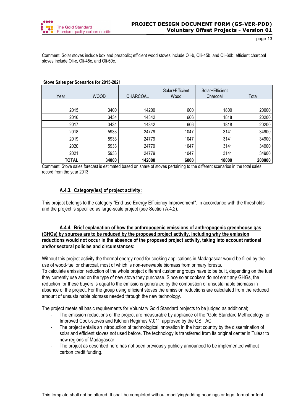

Comment: Solar stoves include box and parabolic; efficient wood stoves include Oli-b, Olli-45b, and Oli-60b; efficient charcoal stoves include Oli-c, Oli-45c, and Oli-60c.

| Year         | <b>WOOD</b> | <b>CHARCOAL</b> | Solar+Efficient<br>Wood | Solar+Efficient<br>Charcoal | Total  |
|--------------|-------------|-----------------|-------------------------|-----------------------------|--------|
|              |             |                 |                         |                             |        |
| 2015         | 3400        | 14200           | 600                     | 1800                        | 20000  |
| 2016         | 3434        | 14342           | 606                     | 1818                        | 20200  |
| 2017         | 3434        | 14342           | 606                     | 1818                        | 20200  |
| 2018         | 5933        | 24779           | 1047                    | 3141                        | 34900  |
| 2019         | 5933        | 24779           | 1047                    | 3141                        | 34900  |
| 2020         | 5933        | 24779           | 1047                    | 3141                        | 34900  |
| 2021         | 5933        | 24779           | 1047                    | 3141                        | 34900  |
| <b>TOTAL</b> | 34000       | 142000          | 6000                    | 18000                       | 200000 |

#### **Stove Sales per Scenarios for 2015-2021**

Comment: Stove sales forecast is estimated based on share of stoves pertaining to the different scenarios in the total sales record from the year 2013.

# **A.4.3. Category(ies) of project activity:**

This project belongs to the category "End-use Energy Efficiency Improvement". In accordance with the thresholds and the project is specified as large-scale project (see Section A.4.2).

# **A.4.4. Brief explanation of how the anthropogenic emissions of anthropogenic greenhouse gas (GHGs) by sources are to be reduced by the proposed project activity, including why the emission reductions would not occur in the absence of the proposed project activity, taking into account national and/or sectoral policies and circumstances:**

Without this project activity the thermal energy need for cooking applications in Madagascar would be filled by the use of wood-fuel or charcoal, most of which is non-renewable biomass from primary forests.

To calculate emission reduction of the whole project different customer groups have to be built, depending on the fuel they currently use and on the type of new stove they purchase. Since solar cookers do not emit any GHGs, the reduction for these buyers is equal to the emissions generated by the combustion of unsustainable biomass in absence of the project. For the group using efficient stoves the emission reductions are calculated from the reduced amount of unsustainable biomass needed through the new technology.

The project meets all basic requirements for Voluntary Gold Standard projects to be judged as additional;

- The emission reductions of the project are measurable by appliance of the "Gold Standard Methodology for Improved Cook-stoves and Kitchen Regimes V.01", approved by the GS TAC
- The project entails an introduction of technological innovation in the host country by the dissemination of solar and efficient stoves not used before. The technology is transferred from its original center in Tuléar to new regions of Madagascar
- The project as described here has not been previously publicly announced to be implemented without carbon credit funding.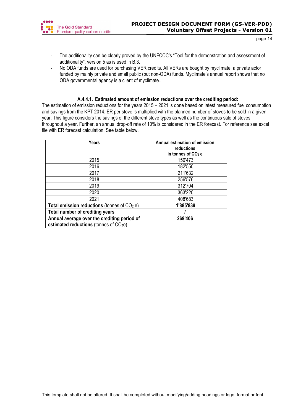

- The additionality can be clearly proved by the UNFCCC's "Tool for the demonstration and assessment of additionality", version 5 as is used in B.3.
- No ODA funds are used for purchasing VER credits. All VERs are bought by myclimate, a private actor funded by mainly private and small public (but non-ODA) funds. Myclimate's annual report shows that no ODA governmental agency is a client of myclimate..

# **A.4.4.1. Estimated amount of emission reductions over the crediting period:**

The estimation of emission reductions for the years 2015 – 2021 is done based on latest measured fuel consumption and savings from the KPT 2014. ER per stove is multiplied with the planned number of stoves to be sold in a given year. This figure considers the savings of the different stove types as well as the continuous sale of stoves throughout a year. Further, an annual drop-off rate of 10% is considered in the ER forecast. For reference see excel file with ER forecast calculation. See table below.

| Years                                                                                             | Annual estimation of emission<br>reductions<br>in tonnes of $CO2$ e |
|---------------------------------------------------------------------------------------------------|---------------------------------------------------------------------|
| 2015                                                                                              | 150'473                                                             |
| 2016                                                                                              | 182'550                                                             |
| 2017                                                                                              | 211'632                                                             |
| 2018                                                                                              | 256'576                                                             |
| 2019                                                                                              | 312'704                                                             |
| 2020                                                                                              | 363'220                                                             |
| 2021                                                                                              | 408'683                                                             |
| Total emission reductions (tonnes of $CO2$ e)                                                     | 1'885'839                                                           |
| Total number of crediting years                                                                   |                                                                     |
| Annual average over the crediting period of<br>estimated reductions (tonnes of CO <sub>2</sub> e) | 269'406                                                             |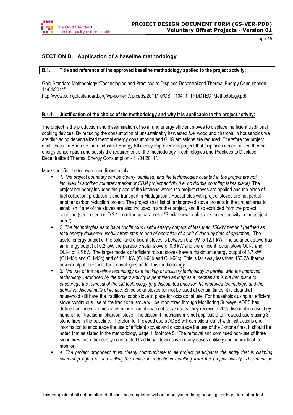

# **SECTION B. Application of a baseline methodology**

## **B.1. Title and reference of the approved baseline methodology applied to the project activity:**

Gold Standard Methodology "Technologies and Practices to Displace Decentralized Thermal Energy Consumption - 11/04/2011".

http://www.cdmgoldstandard.org/wp-content/uploads/2011/10/GS\_110411\_TPDDTEC\_Methodology.pdf

## **B.1.1. Justification of the choice of the methodology and why it is applicable to the project activity:**

The project is the production and dissemination of solar and energy efficient stoves to displace inefficient traditional cooking devices. By reducing the consumption of unsustainably harvested fuel wood and charcoal in households we are displacing decentralized thermal energy consumption and GHG emissions are reduced. Therefore the project qualifies as an End-use, non-industrial Energy Efficiency Improvement project that displaces decentralized thermal energy consumption and satisfy the requirement of the methodology "Technologies and Practices to Displace Decentralized Thermal Energy Consumption - 11/04/2011".

More specific, the following conditions apply:

- *1. The project boundary can be clearly identified, and the technologies counted in the project are not included in another voluntary market or CDM project activity (i.e. no double counting takes place).* The project boundary includes the place of the kitchens where the project stoves are applied and the place of fuel collection, production, and transport in Madagascar. Households with project stoves are not part of another carbon reduction project. The project shall list other improved stove projects in the project area to establish if any of the stoves are also included in another project, and if so excluded from the project counting (see in section D.2.1. monitoring parameter "Similar new cook stove project activity in the project area").
- *2. The technologies each have continuous useful energy outputs of less than 150kW per unit (defined as total energy delivered usefully from start to end of operation of a unit divided by time of operation).* The useful energy output of the solar and efficient stoves is between 0.2 kW to 12.1 kW: The solar box stove has an energy output of 0.2 kW, the parabolic solar stove of 0.6 kW and the efficient rocket stove OLI-b and OLI-c of 1.5 kW. The larger models of efficient rocket stoves have a maximum energy output of 3.7 kW (OLI-45b and OLI-45c) and of 12.1 kW (OLI-60b and OLI-60c). This is far away less than 150KW thermal power output threshold for technologies under this methodology.
- *3. The use of the baseline technology as a backup or auxiliary technology in parallel with the improved technology introduced by the project activity is permitted as long as a mechanism is put into place to encourage the removal of the old technology (e.g discounted price for the improved technology) and the definitive discontinuity of its use.* Since solar stoves cannot be used at certain times, it is clear that household still have the traditional cook stove in place for occasional use. For households using an efficient stove continuous use of the traditional stove will be monitored through Monitoring Surveys. ADES has defined an incentive mechanism for efficient charcoal stove users: they receive a 20% discount in case they hand it their traditional charcoal stove. The discount mechanism is not applicable to firewood users using 3 stone fires in the baseline. Therefor, for firewood users ADES will compile a leaflet with instructions and information to encourage the use of efficient stoves and discourage the use of the 3-stone fires. It should be noted that as stated in the methodology page 4, footnote 5, "The removal and continued non-use of three stone fires and other easily constructed traditional devices is in many cases unlikely and impractical to monitor."
- *4. The project proponent must clearly communicate to all project participants the entity that is claiming ownership rights of and selling the emission reductions resulting from the project activity. This must be*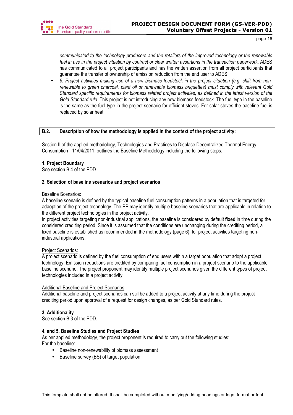

*communicated to the technology producers and the retailers of the improved technology or the renewable fuel in use in the project situation by contract or clear written assertions in the transaction paperwork.* ADES has communicated to all project participants and has the written assertion from all project participants that guarantee the transfer of ownership of emission reduction from the end user to ADES.

• *5. Project activities making use of a new biomass feedstock in the project situation (e.g. shift from nonrenewable to green charcoal, plant oil or renewable biomass briquettes) must comply with relevant Gold Standard specific requirements for biomass related project activities, as defined in the latest version of the Gold Standard rule.* This project is not introducing any new biomass feedstock. The fuel type in the baseline is the same as the fuel type in the project scenario for efficient stoves. For solar stoves the baseline fuel is replaced by solar heat.

## **B.2. Description of how the methodology is applied in the context of the project activity:**

Section II of the applied methodology, Technologies and Practices to Displace Decentralized Thermal Energy Consumption - 11/04/2011, outlines the Baseline Methodology including the following steps:

## **1. Project Boundary**

See section B.4 of the PDD.

## **2. Selection of baseline scenarios and project scenarios**

## Baseline Scenarios:

A baseline scenario is defined by the typical baseline fuel consumption patterns in a population that is targeted for adaoption of the project technology. The PP may identify multiple baseline scenarios that are applicable in relation to the different project technologies in the project activity.

In project activities targeting non-industrial applications, the baseline is considered by default **fixed** in time during the considered crediting period. Since it is assumed that the conditions are unchanging during the crediting period, a fixed baseline is established as recommended in the methodology (page 6), for project activities targeting nonindustrial applications.

## Project Scenarios:

A project scenario is defined by the fuel consumption of end users within a target population that adopt a project technology. Emission reductions are credited by comparing fuel consumption in a project scenario to the applicable baseline scenario. The project proponent may identify multiple project scenarios given the different types of project technologies included in a project activity.

## Additional Baseline and Project Scenarios

Additional baseline and project scenarios can still be added to a project activity at any time during the project crediting period upon approval of a request for design changes, as per Gold Standard rules.

## **3. Additionality**

See section B.3 of the PDD.

## **4. and 5. Baseline Studies and Project Studies**

As per applied methodology, the project proponent is required to carry out the following studies: For the baseline:

- Baseline non-renewability of biomass assessment
- Baseline survey (BS) of target population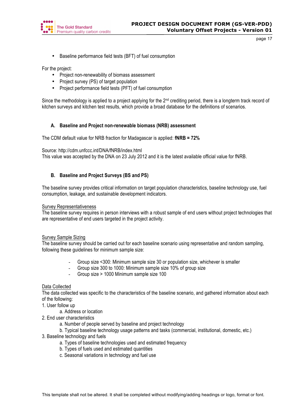

• Baseline performance field tests (BFT) of fuel consumption

For the project:

- Project non-renewability of biomass assessment
- Project survey (PS) of target population
- Project performance field tests (PFT) of fuel consumption

Since the methodology is applied to a project applying for the  $2^{nd}$  crediting period, there is a longterm track record of kitchen surveys and kitchen test results, which provide a broad database for the definitions of scenarios.

## **A. Baseline and Project non-renewable biomass (NRB) assessment**

The CDM default value for NRB fraction for Madagascar is applied: **fNRB = 72%**

Source: http://cdm.unfccc.int/DNA/fNRB/index.html

This value was accepted by the DNA on 23 July 2012 and it is the latest available official value for fNRB.

## **B. Baseline and Project Surveys (BS and PS)**

The baseline survey provides critical information on target population characteristics, baseline technology use, fuel consumption, leakage, and sustainable development indicators.

#### Survey Representativeness

The baseline survey requires in person interviews with a robust sample of end users without project technologies that are representative of end users targeted in the project activity.

## Survey Sample Sizing

The baseline survey should be carried out for each baseline scenario using representative and random sampling, following these guidelines for minimum sample size:

- Group size <300: Minimum sample size 30 or population size, whichever is smaller
- Group size 300 to 1000: Minimum sample size 10% of group size
- Group size > 1000 Minimum sample size 100

## Data Collected

The data collected was specific to the characteristics of the baseline scenario, and gathered information about each of the following:

- 1. User follow up
	- a. Address or location
- 2. End user characteristics
	- a. Number of people served by baseline and project technology
	- b. Typical baseline technology usage patterns and tasks (commercial, institutional, domestic, etc.)
- 3. Baseline technology and fuels
	- a. Types of baseline technologies used and estimated frequency
	- b. Types of fuels used and estimated quantities
	- c. Seasonal variations in technology and fuel use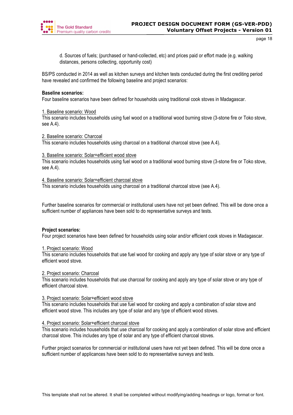

d. Sources of fuels; (purchased or hand-collected, etc) and prices paid or effort made (e.g. walking distances, persons collecting, opportunity cost)

BS/PS conducted in 2014 as well as kitchen surveys and kitchen tests conducted during the first crediting period have revealed and confirmed the following baseline and project scenarios:

## **Baseline scenarios:**

Four baseline scenarios have been defined for households using traditional cook stoves in Madagascar.

## 1. Baseline scenario: Wood

This scenario includes households using fuel wood on a traditional wood burning stove (3-stone fire or Toko stove, see A.4).

## 2. Baseline scenario: Charcoal

This scenario includes households using charcoal on a traditional charcoal stove (see A.4).

## 3. Baseline scenario: Solar+efficient wood stove

This scenario includes households using fuel wood on a traditional wood burning stove (3-stone fire or Toko stove, see A.4).

## 4. Baseline scenario: Solar+efficient charcoal stove

This scenario includes households using charcoal on a traditional charcoal stove (see A.4).

Further baseline scenarios for commercial or institutional users have not yet been defined. This will be done once a sufficient number of appliances have been sold to do representative surveys and tests.

# **Project scenarios:**

Four project scenarios have been defined for households using solar and/or efficient cook stoves in Madagascar.

## 1. Project scenario: Wood

This scenario includes households that use fuel wood for cooking and apply any type of solar stove or any type of efficient wood stove.

## 2. Project scenario: Charcoal

This scenario includes households that use charcoal for cooking and apply any type of solar stove or any type of efficient charcoal stove.

## 3. Project scenario: Solar+efficient wood stove

This scenario includes households that use fuel wood for cooking and apply a combination of solar stove and efficient wood stove. This includes any type of solar and any type of efficient wood stoves.

## 4. Project scenario: Solar+efficient charcoal stove

This scenario includes households that use charcoal for cooking and apply a combination of solar stove and efficient charcoal stove. This includes any type of solar and any type of efficient charcoal stoves.

Further project scenarios for commercial or institutional users have not yet been defined. This will be done once a sufficient number of applicances have been sold to do representative surveys and tests.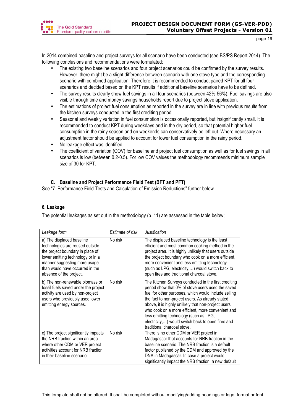

In 2014 combined baseline and project surveys for all scenario have been conducted (see BS/PS Report 2014). The following conclusions and recommendations were formulated:

- The existing two baseline scenarios and four project scenarios could be confirmed by the survey results. However, there might be a slight difference between scenario with one stove type and the corresponding scenario with combined application. Therefore it is recommended to conduct paired KPT for all four scenarios and decided based on the KPT results if additional baseline scenarios have to be defined.
- The survey results clearly show fuel savings in all four scenarios (between 42%-56%). Fuel savings are also visible through time and money savings households report due to project stove application.
- The estimations of project fuel consumption as reported in the survey are in line with previous results from the kitchen surveys conducted in the first crediting period.
- Seasonal and weekly variation in fuel consumption is occasionally reported, but insignificantly small. It is recommended to conduct KPT during weekdays and in the dry period, so that potential higher fuel consumption in the rainy season and on weekends can conservatively be left out. Where necessary an adjustment factor should be applied to account for lower fuel consumption in the rainy period.
- No leakage effect was identified.
- The coefficient of variation (COV) for baseline and project fuel consumption as well as for fuel savings in all scenarios is low (between 0.2-0.5). For low COV values the methodology recommends minimum sample size of 30 for KPT.

# **C. Baseline and Project Performance Field Test (BFT and PFT)**

See "7. Performance Field Tests and Calculation of Emission Reductions" further below.

# **6. Leakage**

The potential leakages as set out in the methodology (p. 11) are assessed in the table below;

| Leakage form                                                                                                                                                                                                                        | Estimate of risk | <b>Justification</b>                                                                                                                                                                                                                                                                                                                                                                                                                                            |
|-------------------------------------------------------------------------------------------------------------------------------------------------------------------------------------------------------------------------------------|------------------|-----------------------------------------------------------------------------------------------------------------------------------------------------------------------------------------------------------------------------------------------------------------------------------------------------------------------------------------------------------------------------------------------------------------------------------------------------------------|
| a) The displaced baseline<br>technologies are reused outside<br>the project boundary in place of<br>lower emitting technology or in a<br>manner suggesting more usage<br>than would have occurred in the<br>absence of the project. | No risk          | The displaced baseline technology is the least<br>efficient and most common cooking method in the<br>project area. It is highly unlikely that users outside<br>the project boundary who cook on a more efficient,<br>more convenient and less emitting technology<br>(such as LPG, electricity,) would switch back to<br>open fires and traditional charcoal stove.                                                                                             |
| b) The non-renewable biomass or<br>fossil fuels saved under the project<br>activity are used by non-project<br>users who previously used lower<br>emitting energy sources.                                                          | No risk          | The Kitchen Surveys conducted in the first crediting<br>period show that 0% of stove users used the saved<br>fuel for other purposes, which would include selling<br>the fuel to non-project users. As already stated<br>above, it is highly unlikely that non-project users<br>who cook on a more efficient, more convenient and<br>less emitting technology (such as LPG,<br>electricity,) would switch back to open fires and<br>traditional charcoal stove. |
| c) The project significantly impacts<br>the NRB fraction within an area<br>where other CDM or VER project<br>activities account for NRB fraction<br>in their baseline scenario                                                      | No risk          | There is no other CDM or VER project in<br>Madagascar that accounts for NRB fraction in the<br>baseline scenario. The NRB fraction is a default<br>factor published by the CDM and approved by the<br>DNA in Madagascar. In case a project would<br>significantly impact the NRB fraction, a new default                                                                                                                                                        |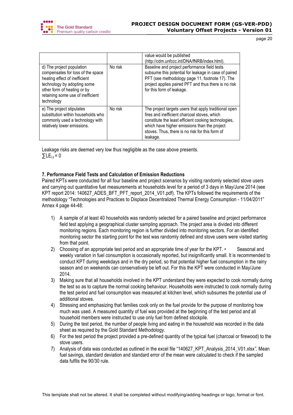

|                                                                                                                                                                                                                  |         | value would be published<br>(http://cdm.unfccc.int/DNA/fNRB/index.html).                                                                                                                                                                                                     |
|------------------------------------------------------------------------------------------------------------------------------------------------------------------------------------------------------------------|---------|------------------------------------------------------------------------------------------------------------------------------------------------------------------------------------------------------------------------------------------------------------------------------|
| d) The project population<br>compensates for loss of the space<br>heating effect of inefficient<br>technology by adopting some<br>other form of heating or by<br>retaining some use of inefficient<br>technology | No risk | Baseline and project performance field tests<br>subsume this potential for leakage in case of paired<br>PFT (see methodology page 11, footnote 17). The<br>project applies paired PFT and thus there is no risk<br>for this form of leakage.                                 |
| e) The project stipulates<br>substitution within households who<br>commonly used a technology with<br>relatively lower emissions.                                                                                | No risk | The project targets users that apply traditional open<br>fires and inefficient charcoal stoves, which<br>constitute the least efficient cooking technologies,<br>which have higher emissions than the project<br>stoves. Thus, there is no risk for this form of<br>leakage. |

Leakage risks are deemed very low thus negligible as the case above presents.  $\Sigma$ LE<sub>i.v</sub> = 0

# **7. Performance Field Tests and Calculation of Emission Reductions**

Paired KPTs were conducted for all four baseline and project scenarios by visiting randomly selected stove users and carrying out quantitative fuel measurements at households level for a period of 3 days in May/June 2014 (see KPT report 2014: 140627\_ADES\_BFT\_PFT\_report\_2014\_V01.pdf). The KPTs followed the requirements of the methodology "Technologies and Practices to Displace Decentralized Thermal Energy Consumption - 11/04/2011" Annex 4 page 44-48:

- 1) A sample of at least 40 households was randomly selected for a paired baseline and project performance field test applying a geographical cluster sampling approach. The project area is divided into different monitoring regions. Each monitoring region is further divided into monitoring sectors. For an identified monitoring sector the starting point for the test was randomly defined and stove users were visited starting from that point.
- 2) Choosing of an appropriate test period and an appropriate time of year for the KPT. Seasonal and weekly variation in fuel consumption is occasionally reported, but insignificantly small. It is recommended to conduct KPT during weekdays and in the dry period, so that potential higher fuel consumption in the rainy season and on weekends can conservatively be left out. For this the KPT were conducted in May/June 2014.
- 3) Making sure that all households involved in the KPT understand they were expected to cook normally during the test so as to capture the normal cooking behaviour. Households were instructed to cook normally during the test period and fuel consumption was measured at kitchen level, which subsumes the potential use of additional stoves.
- 4) Stressing and emphasizing that families cook only on the fuel provide for the purpose of monitoring how much was used. A measured quantity of fuel was provided at the beginning of the test period and all household members were instructed to use only fuel from defined stockpile.
- 5) During the test period, the number of people living and eating in the household was recorded in the data sheet as required by the Gold Standard Methodology.
- 6) For the test period the project provided a pre-defined quantity of the typical fuel (charcoal or firewood) to the stove users.
- 7) Analysis of data was conducted as outlined in the excel file "140627\_KPT\_Analysis\_2014\_V01.xlsx*".* Mean fuel savings, standard deviation and standard error of the mean were calculated to check if the sampled data fulfils the 90/30 rule.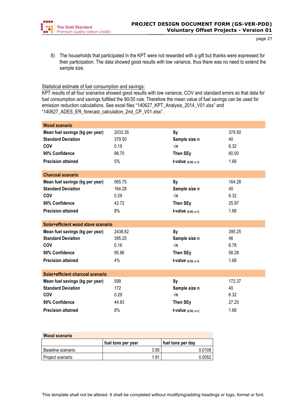

8) The households that participated in the KPT were not rewarded with a gift but thanks were expressed for their participation. The data showed good results with low variance, thus there was no need to extend the sample size.

## Statistical estimate of fuel consumption and savings:

KPT results of all four scenarios showed good results with low variance, COV and standard errors so that data for fuel consumption and savings fulfilled the 90/30 rule. Therefore the mean value of fuel savings can be used for emission reduction calculations. See excel files "140627\_KPT\_Analysis\_2014\_V01.xlsx" and "140627\_ADES\_ER\_forecast\_calculation\_2nd\_CP\_V01.xlsx".

| <b>Wood scenario</b>                |         |                              |        |
|-------------------------------------|---------|------------------------------|--------|
| Mean fuel savings (kg per year)     | 2033.35 | <b>Sy</b>                    | 379.50 |
| <b>Standard Deviation</b>           | 379.50  | Sample size n                | 40     |
| COV                                 | 0.19    | $\sqrt{n}$                   | 6.32   |
| 90% Confidence                      | 98.70   | Then SEy                     | 60.00  |
| <b>Precision attained</b>           | 5%      | $t$ -value $(0.95, n-1)$     | 1.68   |
| <b>Charcoal scenario</b>            |         |                              |        |
| Mean fuel savings (kg per year)     | 565.75  | <b>Sy</b>                    | 164.28 |
| <b>Standard Deviation</b>           | 164.28  | Sample size n                | 40     |
| COV                                 | 0.29    | $\sqrt{n}$                   | 6.32   |
| 90% Confidence                      | 42.72   | Then SEy                     | 25.97  |
| <b>Precision attained</b>           | 8%      | $t$ -value $(0.95, n-1)$     | 1.68   |
| Solar+efficient wood stove scenario |         |                              |        |
| Mean fuel savings (kg per year)     | 2438.62 | <b>Sy</b>                    | 395.25 |
| <b>Standard Deviation</b>           | 395.25  | Sample size n                | 46     |
| COV                                 | 0.16    | $\sqrt{n}$                   | 6.78   |
| 90% Confidence                      | 95.86   | Then SEy                     | 58.28  |
| <b>Precision attained</b>           | 4%      | t-value $(0.95, n-1)$        | 1.68   |
| Solar+efficient charcoal scenario   |         |                              |        |
| Mean fuel savings (kg per year)     | 599     | <b>Sy</b>                    | 172.37 |
| <b>Standard Deviation</b>           | 172     | Sample size n                | 40     |
| <b>COV</b>                          | 0.29    | $\sqrt{n}$                   | 6.32   |
| 90% Confidence                      | 44.83   | Then SEy                     | 27.25  |
| <b>Precision attained</b>           | 8%      | <b>t-value</b> $(0.95, n-1)$ | 1.68   |

| Wood scenario     |                    |                   |  |  |
|-------------------|--------------------|-------------------|--|--|
|                   | fuel tons per year | fuel tons per day |  |  |
| Baseline scenario | 3.95               | 0.0108            |  |  |
| Project scenario  | 1.91               | 0.0052            |  |  |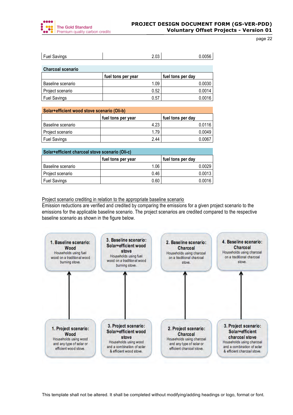

| <b>Fuel Savings</b>      | 2.03               | 0.0056            |
|--------------------------|--------------------|-------------------|
|                          |                    |                   |
| <b>Charcoal scenario</b> |                    |                   |
|                          | fuel tons per year | fuel tons per day |
| Baseline scenario        | 1.09               | 0.0030            |
| Project scenario         | 0.52               | 0.0014            |
| <b>Fuel Savings</b>      | 0.57               | 0.0016            |

| Solar+efficient wood stove scenario (Oli-b) |                    |                   |  |  |
|---------------------------------------------|--------------------|-------------------|--|--|
|                                             | fuel tons per year | fuel tons per day |  |  |
| Baseline scenario                           | 4.23               | 0.0116            |  |  |
| Project scenario                            | 1.79               | 0.0049            |  |  |
| <b>Fuel Savings</b>                         | 2.44               | 0.0067            |  |  |

| Solar+efficient charcoal stove scenario (Oli-c) |                    |                   |  |  |
|-------------------------------------------------|--------------------|-------------------|--|--|
|                                                 | fuel tons per year | fuel tons per day |  |  |
| Baseline scenario                               | 1.06               | 0.0029            |  |  |
| Project scenario                                | 0.46               | 0.0013            |  |  |
| <b>Fuel Savings</b>                             | 0.60               | 0.0016            |  |  |

Project scenario crediting in relation to the appropriate baseline scenario

Emission reductions are verified and credited by comparing the emissions for a given project scenario to the emissions for the applicable baseline scenario. The project scenarios are credited compared to the respective baseline scenario as shown in the figure below.

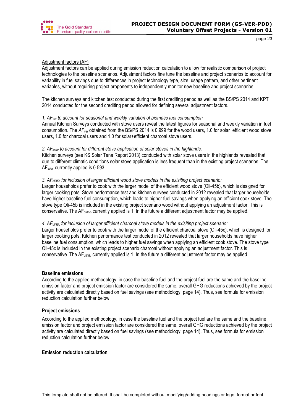

## Adjustment factors (AF)

Adjustment factors can be applied during emission reduction calculation to allow for realistic comparison of project technologies to the baseline scenarios. Adjustment factors fine tune the baseline and project scenarios to account for variability in fuel savings due to differences in project technology type, size, usage pattern, and other pertinent variables, without requiring project proponents to independently monitor new baseline and project scenarios.

The kitchen surveys and kitchen test conducted during the first crediting period as well as the BS/PS 2014 and KPT 2014 conducted for the second crediting period allowed for defining several adjustment factors.

## *1. AFvar to account for seasonal and weekly variation of biomass fuel consumption*

Annual Kitchen Surveys conducted with stove users reveal the latest figures for seasonal and weekly variation in fuel consumption. The *AFvar* obtained from the BS/PS 2014 is 0.999 for the wood users, 1.0 for solar+efficient wood stove users, 1.0 for charcoal users and 1.0 for solar+efficient charcoal stove users.

## *2. AFsolar to account for different stove application of solar stoves in the highlands:*

Kitchen surveys (see KS Solar Tana Report 2013) conducted with solar stove users in the highlands revealed that due to different climatic conditions solar stove application is less frequent than in the existing project scenarios. The AFsolar currently applied is 0.593.

## *3. AFoli45b for inclusion of larger efficient wood stove models in the exisiting project scenario:*

Larger households prefer to cook with the larger model of the efficient wood stove (Oli-45b), which is designed for larger cooking pots. Stove performance test and kitchen surveys conducted in 2012 revealed that larger households have higher baseline fuel consumption, which leads to higher fuel savings when applying an efficient cook stove. The stove type Oli-45b is included in the existing project scenario wood without applying an adjustment factor. This is conservative. The AF<sub>oli45b</sub> currently applied is 1. In the future a different adjustment factor may be applied.

## *4. AFoli45c for inclusion of larger efficient charcoal stove models in the exisiting project scenario:*

Larger households prefer to cook with the larger model of the efficient charcoal stove (Oli-45c), which is designed for larger cooking pots. Kitchen performance test conducted in 2012 revealed that larger households have higher baseline fuel consumption, which leads to higher fuel savings when applying an efficient cook stove. The stove type Oli-45c is included in the existing project scenario charcoal without applying an adjustment factor. This is conservative. The  $AF_{\text{oilds}_c}$  currently applied is 1. In the future a different adjustment factor may be applied.

## **Baseline emissions**

According to the applied methodology, in case the baseline fuel and the project fuel are the same and the baseline emission factor and project emission factor are considered the same, overall GHG reductions achieved by the project activity are calculated directly based on fuel savings (see methodology, page 14). Thus, see formula for emission reduction calculation further below.

## **Project emissions**

According to the applied methodology, in case the baseline fuel and the project fuel are the same and the baseline emission factor and project emission factor are considered the same, overall GHG reductions achieved by the project activity are calculated directly based on fuel savings (see methodology, page 14). Thus, see formula for emission reduction calculation further below.

## **Emission reduction calculation**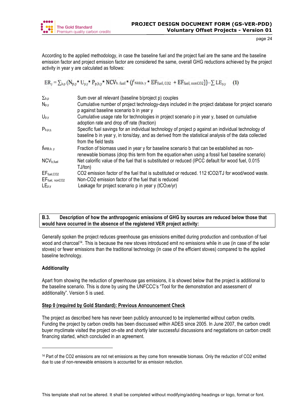

According to the applied methodology, in case the baseline fuel and the project fuel are the same and the baseline emission factor and project emission factor are considered the same, overall GHG reductions achieved by the project activity in year y are calculated as follows:

$$
ER_{y} = \sum_{b,p} (N_{p,y} * U_{p,y} * P_{p,b,y} * NCV_{b,\text{ fuel}} * (f_{NRB,b,y} * EF_{\text{fuel, CO2}} + EF_{\text{fuel, nonCO2}})) - \sum LE_{p,y}
$$
 (1)

| $\Sigma_{b,p}$             | Sum over all relevant (baseline b/project p) couples                                                                                                                                                                                 |
|----------------------------|--------------------------------------------------------------------------------------------------------------------------------------------------------------------------------------------------------------------------------------|
| $N_{p,y}$                  | Cumulative number of project technology-days included in the project database for project scenario<br>p against baseline scenario b in year y                                                                                        |
| $U_{p,y}$                  | Cumulative usage rate for technologies in project scenario p in year y, based on cumulative<br>adoption rate and drop off rate (fraction)                                                                                            |
| $P_{b,p,y,}$               | Specific fuel savings for an individual technology of project p against an individual technology of<br>baseline b in year y, in tons/day, and as derived from the statistical analysis of the data collected<br>from the field tests |
| $f_{NRB,b, y}$             | Fraction of biomass used in year y for baseline scenario b that can be established as non-<br>renewable biomass (drop this term from the equation when using a fossil fuel baseline scenario)                                        |
| NCV <sub>b,fuel</sub>      | Net calorific value of the fuel that is substituted or reduced (IPCC default for wood fuel, 0.015<br>TJ/ton)                                                                                                                         |
| $EF_{\text{fuel},CO2}$     | CO2 emission factor of the fuel that is substituted or reduced. 112 tCO2/TJ for wood/wood waste.                                                                                                                                     |
| EF <sub>fuel, nonCO2</sub> | Non-CO2 emission factor of the fuel that is reduced                                                                                                                                                                                  |
| $LE_{p,y}$                 | Leakage for project scenario p in year y (tCO2e/yr)                                                                                                                                                                                  |

# **B.3. Description of how the anthropogenic emissions of GHG by sources are reduced below those that would have occurred in the absence of the registered VER project activity:**

Generally spoken the project reduces greenhouse gas emissions emitted during production and combustion of fuel wood and charcoal14. This is because the new stoves introduced emit no emissions while in use (in case of the solar stoves) or fewer emissions than the traditional technology (in case of the efficient stoves) compared to the applied baseline technology.

# **Additionality**

 $\overline{a}$ 

Apart from showing the reduction of greenhouse gas emissions, it is showed below that the project is additional to the baseline scenario. This is done by using the UNFCCC's "Tool for the demonstration and assessment of additionality". Version 5 is used.

# **Step 0 (required by Gold Standard): Previous Announcement Check**

The project as described here has never been publicly announced to be implemented without carbon credits. Funding the project by carbon credits has been disccussed within ADES since 2005. In June 2007, the carbon credit buyer myclimate visited the project on-site and shortly later successful discussions and negotiations on carbon credit financing started, which concluded in an agreement.

<sup>14</sup> Part of the CO2 emissions are not net emissions as they come from renewable biomass. Only the reduction of CO2 emitted due to use of non-renewable emissions is accounted for as emission reduction.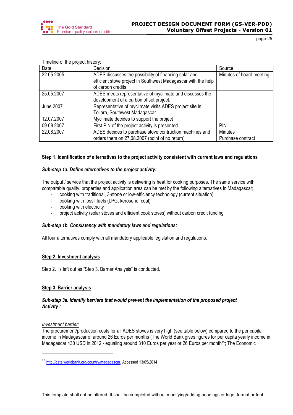

| $\frac{1}{2}$ introduced to the project inster $\frac{1}{2}$ . |                                                               |                          |
|----------------------------------------------------------------|---------------------------------------------------------------|--------------------------|
| Date                                                           | Decision                                                      | Source                   |
| 22.05.2005                                                     | ADES discusses the possibility of financing solar and         | Minutes of board meeting |
|                                                                | efficient stove project in Southwest Madagascar with the help |                          |
|                                                                | of carbon credits.                                            |                          |
| 25.05.2007                                                     | ADES meets representative of myclimate and discusses the      |                          |
|                                                                | development of a carbon offset project.                       |                          |
| June 2007                                                      | Representative of myclimate visits ADES project site in       |                          |
|                                                                | Toliara, Southwest Madagascar.                                |                          |
| 12.07.2007                                                     | Myclimate decides to support the project                      |                          |
| 09.08.2007                                                     | First PIN of the project activity is presented.               | <b>PIN</b>               |
| 22.08.2007                                                     | ADES decides to purchase stove contruction machines and       | <b>Minutes</b>           |
|                                                                | orders them on 27.08.2007 (point of no return)                | Purchase contract        |

Timeline of the project history:

# **Step 1. Identification of alternatives to the project activity consistent with current laws and regulations**

## *Sub-step 1a. Define alternatives to the project activity:*

The output / service that the project activity is delivering is heat for cooking purposes. The same service with comparable quality, properties and application area can be met by the following alternatives in Madagascar;

- cooking with traditional, 3-stone or low-efficiency technology (current situation)
- cooking with fossil fuels (LPG, kerosene, coal)
- cooking with electricity
- project activity (solar stoves and efficient cook stoves) without carbon credit funding

## *Sub-step 1b. Consistency with mandatory laws and regulations:*

All four alternatives comply with all mandatory applicable legislation and regulations.

# **Step 2. Investment analysis**

Step 2. is left out as "Step 3. Barrier Analysis" is conducted.

# **Step 3. Barrier analysis**

# *Sub-step 3a. Identify barriers that would prevent the implementation of the proposed project Activity :*

## *Investment barrier:*

 $\overline{a}$ 

The procurement/production costs for all ADES stoves is very high (see table below) compared to the per capita income in Madagascar of around 26 Euros per months (The World Bank gives figures for per capita yearly income in Madagascar 430 USD in 2012 - equaling around 310 Euros per year or 26 Euros per month<sup>15</sup>; The Economic

<sup>15</sup> http://data.worldbank.org/country/madagascar, Accessed 13/05/2014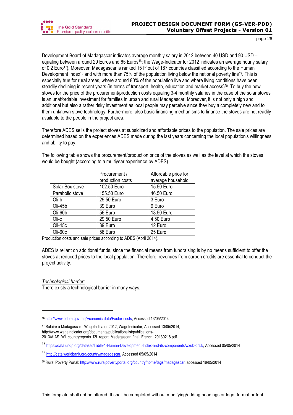Development Board of Madagascar indicates average monthly salary in 2012 between 40 USD and 90 USD – equaling between around 29 Euros and 65 Euros<sup>16</sup>; the Wage-Indicator for 2012 indicates an average hourly salary of 0.2 Euro<sup>17</sup>). Moreover, Madagascar is ranked 151<sup>st</sup> out of 187 countries classified according to the Human Development Index<sup>18</sup> and with more than 75% of the population living below the national poverty line<sup>19</sup>. This is especially true for rural areas, where around 80% of the population live and where living conditions have been steadily declining in recent years (in terms of transport, health, education and market access)<sup>20</sup>. To buy the new stoves for the price of the procurement/production costs equaling 3-4 monthly salaries in the case of the solar stoves is an unaffordable investment for families in urban and rural Madagascar. Moreover, it is not only a high and additional but also a rather risky investment as local people may perceive since they buy a completely new and to them unknown stove technology. Furthermore, also basic financing mechanisms to finance the stoves are not readily available to the people in the project area.

Therefore ADES sells the project stoves at subsidized and affordable prices to the population. The sale prices are determined based on the experiences ADES made during the last years concerning the local population's willingness and ability to pay.

The following table shows the procurement/production price of the stoves as well as the level at which the stoves would be bought (according to a multiyear experience by ADES).

|                 | Procurement /    | Affordable price for |  |
|-----------------|------------------|----------------------|--|
|                 | production costs | average household    |  |
| Solar Box stove | 102.50 Euro      | 15.50 Euro           |  |
| Parabolic stove | 155.50 Euro      | 46.50 Euro           |  |
| Oli-b           | 29.50 Euro       | 3 Euro               |  |
| Oli-45b         | 39 Euro          | 9 Euro               |  |
| Oli-60b         | 56 Euro          | 18.50 Euro           |  |
| Oli-c           | 29.50 Euro       | 4.50 Euro            |  |
| Oli-45c         | 39 Euro          | 12 Euro              |  |
| Oli-60c         | 56 Euro          | 25 Euro              |  |

Production costs and sale prices according to ADES (April 2014).

ADES is reliant on additional funds, since the financial means from fundraising is by no means sufficient to offer the stoves at reduced prices to the local population. Therefore, revenues from carbon credits are essential to conduct the project activity.

*Technological barrier:* 

 $\overline{a}$ 

There exists a technological barrier in many ways;

<sup>17</sup> Salaire à Madagascar - WageIndicator 2012, WageIndicator, Accessed 13/05/2014, http://www.wageindicator.org/documents/publicationslist/publications-2013/AIAS\_WI\_countryreports\_f2f\_report\_Madagascar\_final\_French\_20130218.pdf

<sup>16</sup> http://www.edbm.gov.mg/Economic-data/Factor-costs, Accessed 13/05/2014

<sup>18</sup> https://data.undp.org/dataset/Table-1-Human-Development-Index-and-its-components/wxub-qc5k, Accessed 05/05/2014

<sup>19</sup> http://data.worldbank.org/country/madagascar, Accessed 05/05/2014

<sup>20</sup> Rural Poverty Portal: http://www.ruralpovertyportal.org/country/home/tags/madagascar, accessed 19/05/2014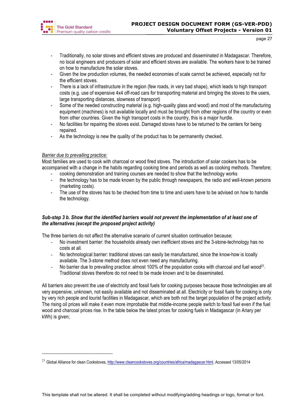

- Traditionally, no solar stoves and efficient stoves are produced and disseminated in Madagascar. Therefore, no local engineers and producers of solar and efficient stoves are available. The workers have to be trained on how to manufacture the solar stoves.
- Given the low production volumes, the needed economies of scale cannot be achieved, especially not for the efficient stoves.
- There is a lack of infrastructure in the region (few roads, in very bad shape), which leads to high transport costs (e.g. use of expensive 4x4 off-road cars for transporting material and bringing the stoves to the users, large transporting distances, slowness of transport)
- Some of the needed constructing material (e.g. high-quality glass and wood) and most of the manufacturing equipment (machines) is not available locally and must be brought from other regions of the country or even from other countries. Given the high transport costs in the country, this is a major hurdle.
- No facilities for repairing the stoves exist. Damaged stoves have to be returned to the centers for being repaired.
- As the technology is new the quality of the product has to be permanently checked.

# *Barrier due to prevailing practice:*

 $\overline{a}$ 

Most families are used to cook with charcoal or wood fired stoves. The introduction of solar cookers has to be accompanied with a change in the habits regarding cooking time and periods as well as cooking methods. Therefore:

- cooking demonstration and training courses are needed to show that the technology works
- the technology has to be made known by the public through newspapers, the radio and well-known persons (marketing costs).
- The use of the stoves has to be checked from time to time and users have to be advised on how to handle the technology.

# *Sub-step 3 b. Show that the identified barriers would not prevent the implementation of at least one of the alternatives (except the proposed project activity)*

The three barriers do not affect the alternative scenario of current situation continuation because;

- No investment barrier: the households already own inefficient stoves and the 3-stone-technology has no costs at all.
- No technological barrier: traditional stoves can easily be manufactured, since the know-how is lcoally available. The 3-stone method does not even need any manufacturing.
- No barrier due to prevailing practice: almost 100% of the population cooks with charcoal and fuel wood<sup>21</sup>. Traditional stoves therefore do not need to be made known and to be disseminated.

All barriers also prevent the use of electricity and fossil fuels for cooking purposes because those technologies are all very expensive, unknown, not easily available and not disseminated at all. Electricity or fossil fuels for cooking is only by very rich people and tourist facilities in Madagascar, which are both not the target population of the project activity. The rising oil prices will make it even more improbable that middle-income people switch to fossil fuel even if the fuel wood and charcoal prices rise. In the table below the latest prices for cooking fuels in Madagascar (in Ariary per kWh) is given;

<sup>&</sup>lt;sup>21</sup> Global Alliance for clean Cookstoves, http://www.cleancookstoves.org/countries/africa/madagascar.html, Accessed 13/05/2014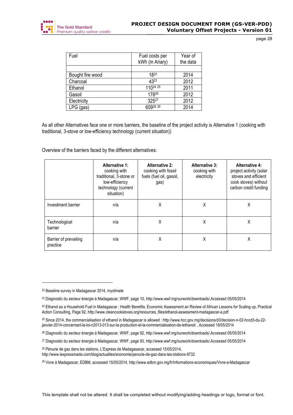

| Fuel             | Fuel costs per<br>kWh (in Ariary) | Year of<br>the data |
|------------------|-----------------------------------|---------------------|
|                  |                                   |                     |
| Bought fire wood | 1822                              | 2014                |
| Charcoal         | 4323                              | 2012                |
| Ethanol          | 11024 25                          | 2011                |
| Gasoil           | 17826                             | 2012                |
| Electricity      | 32527                             | 2012                |
| $LPG$ (gas)      | 60928 29                          | 2014                |

As all other Alternatives face one or more barriers, the baseline of the project activity is Alternative 1 (cooking with traditional, 3-stove or low-efficiency technology (current situation))

Overview of the barriers faced by the different alternatives:

|                                   | Alternative 1:<br>cooking with<br>traditional, 3-stone or<br>low-efficiency<br>technology (current<br>situation) | <b>Alternative 2:</b><br>cooking with fossil<br>fuels (fuel oil, gasoil,<br>gas) | <b>Alternative 3:</b><br>cooking with<br>electricity | <b>Alternative 4:</b><br>project activity (solar<br>stoves and efficient<br>cook stoves) without<br>carbon credit funding |
|-----------------------------------|------------------------------------------------------------------------------------------------------------------|----------------------------------------------------------------------------------|------------------------------------------------------|---------------------------------------------------------------------------------------------------------------------------|
| Investment barrier                | n/a                                                                                                              | Χ                                                                                | X                                                    | χ                                                                                                                         |
| Technological<br>barrier          | n/a                                                                                                              | Χ                                                                                | Χ                                                    | Χ                                                                                                                         |
| Barrier of prevailing<br>practice | n/a                                                                                                              | X                                                                                | χ                                                    | χ                                                                                                                         |

 $\overline{a}$ 

<sup>22</sup> Baseline survey in Madagascar 2014, myclimate

<sup>23</sup> Diagnostic du secteur énergie à Madagascar, WWF, page 10, http://www.wwf.mg/ourwork/downloads/,Accessed 05/05/2014

<sup>&</sup>lt;sup>24</sup> Ethanol as a Household Fuel in Madagascar : Health Benefits, Economic Assessment an Review of African Lessons for Scaling up, Practical Action Consulting, Page 92, http://www.cleancookstoves.org/resources\_files/ethanol-assessment-madagascar-a.pdf

<sup>25</sup> Since 2014, the commercialisation of ethanol in Madagascar is allowed : http://www.hcc.gov.mg/decisions/d3/decision-n-02-hccd3-du-22 janvier-2014-concernant-la-loi-n2013-013-sur-la-production-et-la-commercialisation-de-lethanol/ , Accessed 16/05/2014

<sup>26</sup> Diagnostic du secteur énergie à Madagascar, WWF, page 92, http://www.wwf.mg/ourwork/downloads/,Accessed 05/05/2014

<sup>27</sup> Diagnostic du secteur énergie à Madagascar, WWF, page 93, http://www.wwf.mg/ourwork/downloads/,Accessed 05/05/2014

<sup>28</sup> Pénurie de gaz dans les stations, L'Express de Madagasacar, accessed 15/05/2014, http://www.lexpressmada.com/blog/actualites/economie/penurie-de-gaz-dans-les-stations-9732

<sup>29</sup> Vivre à Madagascar, EDBM, accessed 15/05/2014, http://www.edbm.gov.mg/fr/Informations-economiques/Vivre-a-Madagascar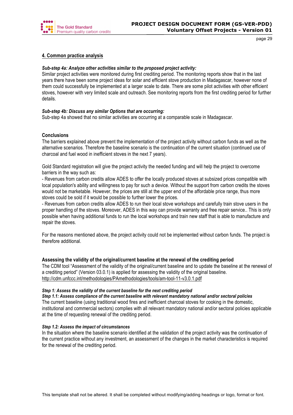

# **4. Common practice analysis**

## *Sub-step 4a: Analyze other activities similar to the proposed project activity:*

Similar project activities were monitored during first crediting period. The monitoring reports show that in the last years there have been some project ideas for solar and efficient stove production in Madagascar, however none of them could successfully be implemented at a larger scale to date. There are some pilot activities with other efficient stoves, however with very limited scale and outreach. See monitoring reports from the first crediting period for further details.

## *Sub-step 4b: Discuss any similar Options that are occurring:*

Sub-step 4a showed that no similar activities are occurring at a comparable scale in Madagascar.

## **Conclusions**

The barriers explained above prevent the implementation of the project activity without carbon funds as well as the alternative scenarios. Therefore the baseline scenario is the continuation of the current situation (continued use of charcoal and fuel wood in inefficient stoves in the next 7 years).

Gold Standard registration will give the project activity the needed funding and will help the project to overcome barriers in the way such as:

- Revenues from carbon credits allow ADES to offer the locally produced stoves at subsized prices compatible with local population's ability and willingness to pay for such a device. Without the support from carbon credits the stoves would not be marketable. However, the prices are still at the upper end of the affordable price range, thus more stoves could be sold if it would be possible to further lower the prices.

- Revenues from carbon credits allow ADES to run their local stove workshops and carefully train stove users in the proper handling of the stoves. Moreover, ADES in this way can provide warranty and free repair service.. This is only possible when having additional funds to run the local workshops and train new staff that is able to manufacture and repair the stoves.

For the reasons mentioned above, the project activity could not be implemented without carbon funds. The project is therefore additional.

## **Assessing the validity of the original/current baseline at the renewal of the crediting period**

The CDM tool "Assessment of the validity of the original/current baseline and to update the baseline at the renewal of a crediting period" (Version 03.0.1) is applied for assessing the validity of the original baseline. http://cdm.unfccc.int/methodologies/PAmethodologies/tools/am-tool-11-v3.0.1.pdf

## *Step 1: Assess the validity of the current baseline for the next crediting period*

*Step 1.1: Assess compliance of the current baseline with relevant mandatory national and/or sectoral policies* The current baseline (using traditional wood fires and inefficient charcoal stoves for cooking in the domestic, institutional and commercial sectors) complies with all relevant mandatory national and/or sectoral policies applicable at the time of requesting renewal of the crediting period.

## *Step 1.2: Assess the impact of circumstances*

In the situation where the baseline scenario identified at the validation of the project activity was the continuation of the current practice without any investment, an assessment of the changes in the market characteristics is required for the renewal of the crediting period.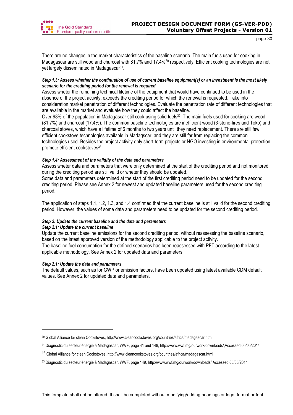

There are no changes in the market characteristics of the baseline scenario. The main fuels used for cooking in Madagascar are still wood and charcoal with 81.7% and 17.4%<sup>30</sup> respectively. Efficient cooking technologies are not yet largely disseminated in Madagascar31.

# *Step 1.3: Assess whether the continuation of use of current baseline equipment(s) or an investment is the most likely scenario for the crediting period for the renewal is required*

Assess wheter the remaining technical lifetime of the equipment that would have continued to be used in the absence of the project activity, exceeds the crediting period for which the renewal is requested. Take into consideration market penetration of different technologies. Evaluate the penetration rate of different technologies that are available in the market and evaluate how they could affect the baseline.

Over 98% of the population in Madagascar still cook using solid fuels<sup>32</sup>: The main fuels used for cooking are wood (81.7%) and charcoal (17.4%). The common baseline technologies are inefficient wood (3-stone-fires and Toko) and charcoal stoves, which have a lifetime of 6 months to two years until they need replacement. There are still few efficient cookstove technologies available in Madagscar, and they are still far from replacing the common technologies used. Besides the project activity only short-term projects or NGO investing in environmental protection promote efficient cookstoves<sup>33</sup>.

# *Step 1.4: Assessment of the validity of the data and parameters*

Assess wheter data and parameters that were only determined at the start of the crediting period and not monitored during the crediting period are still valid or wheter they should be updated.

Some data and parameters determined at the start of the first crediting period need to be updated for the second crediting period. Please see Annex 2 for newest and updated baseline parameters used for the second crediting period.

The application of steps 1.1, 1.2, 1.3, and 1.4 confirmed that the current baseline is still valid for the second crediting period. However, the values of some data and parameters need to be updated for the second crediting period.

# *Step 2: Update the current baseline and the data and parameters*

# *Step 2.1: Update the current baseline*

Update the current baseline emissions for the second crediting period, without reassessing the baseline scenario, based on the latest approved version of the methodology applicable to the project activity.

The baseline fuel consumption for the defined scenarios has been reassessed with PFT according to the latest applicable methodology. See Annex 2 for updated data and parameters.

# *Step 2.1: Update the data and parameters*

l

The default values, such as for GWP or emission factors, have been updated using latest available CDM default values. See Annex 2 for updated data and parameters.

<sup>30</sup> Global Alliance for clean Cookstoves, http://www.cleancookstoves.org/countries/africa/madagascar.html

<sup>31</sup> Diagnostic du secteur énergie à Madagascar, WWF, page 41 and 148, http://www.wwf.mg/ourwork/downloads/,Accessed 05/05/2014

<sup>&</sup>lt;sup>32</sup> Global Alliance for clean Cookstoves, http://www.cleancookstoves.org/countries/africa/madagascar.html

<sup>33</sup> Diagnostic du secteur énergie à Madagascar, WWF, page 149, http://www.wwf.mg/ourwork/downloads/,Accessed 05/05/2014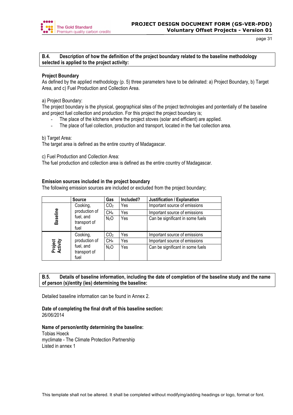

## **B.4. Description of how the definition of the project boundary related to the baseline methodology selected is applied to the project activity:**

## **Project Boundary**

As defined by the applied methodology (p. 5) three parameters have to be delinated: a) Project Boundary, b) Target Area, and c) Fuel Production and Collection Area.

a) Project Boundary:

The project boundary is the physical, geographical sites of the project technologies and pontentially of the baseline and project fuel collection and production. For this project the project boundary is;

- The place of the kitchens where the project stoves (solar and efficient) are applied.
- The place of fuel collection, production and transport, located in the fuel collection area.

b) Target Area:

The target area is defined as the entire country of Madagascar.

c) Fuel Production and Collection Area:

The fuel production and collection area is defined as the entire country of Madagascar.

## **Emission sources included in the project boundary**

The following emission sources are included or excluded from the project boundary;

|                     | <b>Source</b>                     | Gas              | Included? | Justification / Explanation      |
|---------------------|-----------------------------------|------------------|-----------|----------------------------------|
| Baseline            | Cooking,<br>production of         | CO <sub>2</sub>  | Yes       | Important source of emissions    |
|                     |                                   | CH <sub>4</sub>  | Yes       | Important source of emissions    |
|                     | fuel, and<br>transport of<br>fuel | N <sub>2</sub> O | Yes       | Can be significant in some fuels |
|                     | Cooking,                          | CO <sub>2</sub>  | Yes       | Important source of emissions    |
| Project<br>Activity | production of                     | CH <sub>4</sub>  | Yes       | Important source of emissions    |
|                     | fuel, and<br>transport of<br>fuel | N <sub>2</sub> O | Yes       | Can be significant in some fuels |

# **B.5. Details of baseline information, including the date of completion of the baseline study and the name of person (s)/entity (ies) determining the baseline:**

Detailed baseline information can be found in Annex 2.

## **Date of completing the final draft of this baseline section:** 26/06/2014

## **Name of person/entity determining the baseline:**

Tobias Hoeck myclimate - The Climate Protection Partnership Listed in annex 1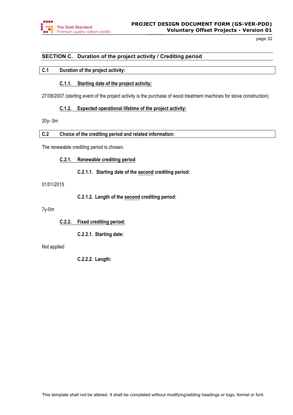

# **SECTION C. Duration of the project activity / Crediting period**

# **C.1 Duration of the project activity:**

# **C.1.1. Starting date of the project activity:**

27/08/2007 (starting event of the project activity is the purchase of wood treatment machines for stove construction)

# **C.1.2. Expected operational lifetime of the project activity:**

20y- 0m

## **C.2 Choice of the crediting period and related information:**

The renewable crediting period is chosen.

**C.2.1. Renewable crediting period**

**C.2.1.1. Starting date of the second crediting period:** 

## 01/01/2015

**C.2.1.2. Length of the second crediting period:**

7y-0m

**C.2.2. Fixed crediting period:** 

**C.2.2.1. Starting date:**

Not applied

**C.2.2.2. Length:**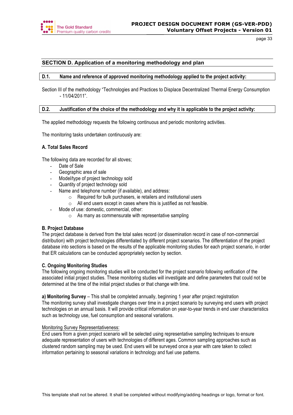

# **SECTION D. Application of a monitoring methodology and plan**

## **D.1. Name and reference of approved monitoring methodology applied to the project activity:**

Section III of the methodology "Technologies and Practices to Displace Decentralized Thermal Energy Consumption - 11/04/2011".

## **D.2. Justification of the choice of the methodology and why it is applicable to the project activity:**

The applied methodology requests the following continuous and periodic monitoring activities.

The monitoring tasks undertaken continuously are:

## **A. Total Sales Record**

The following data are recorded for all stoves;

- Date of Sale
- Geographic area of sale
- Model/type of project technology sold
- Quantity of project technology sold
- Name and telephone number (if available), and address:
	- o Required for bulk purchasers, ie retailers and institutional users
	- o All end users except in cases where this is justified as not feasible.
- Mode of use: domestic, commercial, other:
	- $\circ$  As many as commensurate with representative sampling

## **B. Project Database**

The project database is derived from the total sales record (or dissemination record in case of non-commercial distribution) with project technologies differentiated by different project scenarios. The differentiation of the project database into sections is based on the results of the applicable monitoring studies for each project scenario, in order that ER calculations can be conducted appropriately section by section.

## **C. Ongoing Monitoring Studies**

The following ongoing monitoring studies will be conducted for the project scenario following verification of the associated initial project studies. These monitoring studies will investigate and define parameters that could not be determined at the time of the initial project studies or that change with time.

**a) Monitoring Survey** – This shall be completed annually, beginning 1 year after project registration

The monitoring survey shall investigate changes over time in a project scenario by surveying end users with project technologies on an annual basis. It will provide critical information on year-to-year trends in end user characteristics such as technology use, fuel consumption and seasonal variations.

## Monitoring Survey Representativeness:

End users from a given project scenario will be selected using representative sampling techniques to ensure adequate representation of users with technologies of different ages. Common sampling approaches such as clustered random sampling may be used. End users will be surveyed once a year with care taken to collect information pertaining to seasonal variations in technology and fuel use patterns.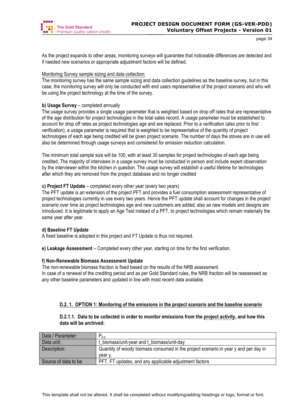

As the project expands to other areas, monitoring surveys will guarantee that noticeable differences are detected and if needed new scenarios or appropriate adjustment factors will be defined.

## Monitoring Survey sample sizing and data collection:

The monitoring survey has the same sample sizing and data collection guidelines as the baseline survey, but in this case, the monitoring survey will only be conducted with end users representative of the project scenario and who will be using the project technology at the time of the survey.

# **b) Usage Survey** – completed annually

The usage survey provides a single usage parameter that is weighted based on drop off rates that are representative of the age distribution for project technologies in the total sales record. A usage parameter must be established to account for drop off rates as project technologies age and are replaced. Prior to a verification (also prior to first verification), a usage parameter is required that is weighted to be representative of the quantity of project technologies of each age being credited will be given project scenario. The number of days the stoves are in use will also be determined through usage surveys and considered for emission reduction calculation.

The minimum total sample size will be 100, with at least 30 samples for project technologies of each age being credited. The majority of interviews in a usage survey must be conducted in person and include expert observation by the interviewer within the kitchen in question. The usage survey will establish a useful lifetime for technologies after which they are removed from the project database and no longer credited

# **c) Project FT Update** – completed every other year (every two years)

The PFT update is an extension of the project PFT and provides a fuel consumption assessment representative of project technologies currently in use every two years. Hence the PFT update shall account for changes in the project scenario over time as project technologies age and new customers are added, also as new models and designs are introduced. It is legitimate to apply an Age Test instead of a PFT, to project technologies which remain materially the same year after year.

# **d) Baseline FT Update**

A fixed baseline is adopted in this project and FT Update is thus not required.

**e) Leakage Assessment** – Completed every other year, starting on time for the first verification.

# **f) Non-Renewable Biomass Assessment Update**

The non-renewable biomass fraction is fixed based on the results of the NRB assessment. In case of a renewal of the crediting period and as per Gold Standard rules, the NRB fraction will be reassessed as any other baseline parameters and updated in line with most recent data available.

# **D.2. 1. OPTION 1: Monitoring of the emissions in the project scenario and the baseline scenario**

# **D.2.1.1. Data to be collected in order to monitor emissions from the project activity, and how this data will be archived:**

| Data / Parameter:    | $^-$ D.V                                                                            |
|----------------------|-------------------------------------------------------------------------------------|
| Data unit:           | t biomass/unit-year and t biomass/unit-day                                          |
| Description:         | Quantity of woody biomass consumed in the project scenario in year y and per day in |
|                      | vear v.                                                                             |
| Source of data to be | PFT, FT updates, and any applicable adjustment factors                              |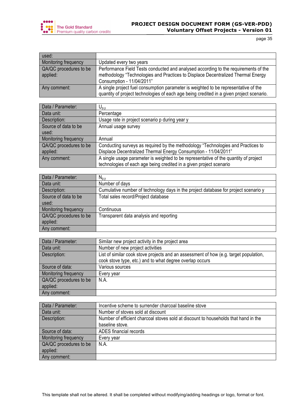![](_page_34_Picture_0.jpeg)

# **PROJECT DESIGN DOCUMENT FORM (GS-VER-PDD) Voluntary Offset Projects - Version 01**

page 35

| used:                              |                                                                                                                                                                                                      |
|------------------------------------|------------------------------------------------------------------------------------------------------------------------------------------------------------------------------------------------------|
| <b>Monitoring frequency</b>        | Updated every two years                                                                                                                                                                              |
| QA/QC procedures to be<br>applied: | Performance Field Tests conducted and analysed according to the requirements of the<br>methodology "Technologies and Practices to Displace Decentralized Thermal Energy<br>Consumption - 11/04/2011" |
| Any comment:                       | A single project fuel consumption parameter is weighted to be representative of the<br>quantity of project technologies of each age being credited in a given project scenario.                      |

| Data / Parameter:      | $\mathsf{U}_{\mathsf{p},\mathsf{y}}$                                                 |
|------------------------|--------------------------------------------------------------------------------------|
| Data unit:             | Percentage                                                                           |
| Description:           | Usage rate in project scenario p during year y                                       |
| Source of data to be   | Annual usage survey                                                                  |
| used:                  |                                                                                      |
| Monitoring frequency   | Annual                                                                               |
| QA/QC procedures to be | Conducting surveys as required by the methodology "Technologies and Practices to     |
| applied:               | Displace Decentralized Thermal Energy Consumption - 11/04/2011"                      |
| Any comment:           | A single usage parameter is weighted to be representative of the quantity of project |
|                        | technologies of each age being credited in a given project scenario                  |

| Data / Parameter:      | $N_{p,v}$                                                                           |
|------------------------|-------------------------------------------------------------------------------------|
| Data unit:             | Number of days                                                                      |
| Description:           | Cumulative number of technology days in the project database for project scenario y |
| Source of data to be   | Total sales record/Project database                                                 |
| used:                  |                                                                                     |
| Monitoring frequency   | Continuous                                                                          |
| QA/QC procedures to be | Transparent data analysis and reporting                                             |
| applied:               |                                                                                     |
| Any comment:           |                                                                                     |

| Data / Parameter:      | Similar new project activity in the project area                                      |
|------------------------|---------------------------------------------------------------------------------------|
| Data unit:             | Number of new project activities                                                      |
| Description:           | List of similar cook stove projects and an assessment of how (e.g. target population, |
|                        | cook stove type, etc.) and to what degree overlap occurs                              |
| Source of data:        | Various sources                                                                       |
| Monitoring frequency   | Every year                                                                            |
| QA/QC procedures to be | N.A.                                                                                  |
| applied:               |                                                                                       |
| Any comment:           |                                                                                       |

| Data / Parameter:      | Incentive scheme to surrender charcoal baseline stove                               |
|------------------------|-------------------------------------------------------------------------------------|
| Data unit:             | Number of stoves sold at discount                                                   |
| Description:           | Number of efficient charcoal stoves sold at discount to households that hand in the |
|                        | baseline stove.                                                                     |
| Source of data:        | ADES financial records                                                              |
| Monitoring frequency   | Every year                                                                          |
| QA/QC procedures to be | N.A.                                                                                |
| applied:               |                                                                                     |
| Any comment:           |                                                                                     |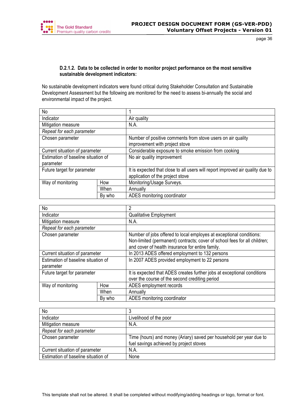![](_page_35_Picture_0.jpeg)

# **D.2.1.2. Data to be collected in order to monitor project performance on the most sensitive sustainable development indicators:**

No sustainable development indicators were found critical during Stakeholder Consultation and Sustainable Development Assessment but the following are monitored for the need to assess bi-annually the social and environmental impact of the project.

| No                                  |        |                                                                                |
|-------------------------------------|--------|--------------------------------------------------------------------------------|
| Indicator                           |        | Air quality                                                                    |
| Mitigation measure                  |        | N.A.                                                                           |
| Repeat for each parameter           |        |                                                                                |
| Chosen parameter                    |        | Number of positive comments from stove users on air quality                    |
|                                     |        | improvement with project stove                                                 |
| Current situation of parameter      |        | Considerable exposure to smoke emission from cooking                           |
| Estimation of baseline situation of |        | No air quality improvement                                                     |
| parameter                           |        |                                                                                |
| Future target for parameter         |        | It is expected that close to all users will report improved air quality due to |
|                                     |        | application of the project stove                                               |
| Way of monitoring                   | How    | Monitoring/Usage Surveys.                                                      |
|                                     | When   | Annually                                                                       |
|                                     | By who | ADES monitoring coordinator                                                    |

| <b>No</b>                           |        | 2                                                                                                                                                                                                    |
|-------------------------------------|--------|------------------------------------------------------------------------------------------------------------------------------------------------------------------------------------------------------|
| Indicator                           |        | <b>Qualitative Employment</b>                                                                                                                                                                        |
| Mitigation measure                  |        | N.A.                                                                                                                                                                                                 |
| Repeat for each parameter           |        |                                                                                                                                                                                                      |
| Chosen parameter                    |        | Number of jobs offered to local employes at exceptional conditions:<br>Non-limited (permanent) contracts; cover of school fees for all children;<br>and cover of health insurance for entire family. |
| Current situation of parameter      |        | In 2013 ADES offered employment to 132 persons                                                                                                                                                       |
| Estimation of baseline situation of |        | In 2007 ADES provided employment to 22 persons                                                                                                                                                       |
| parameter                           |        |                                                                                                                                                                                                      |
| Future target for parameter         |        | It is expected that ADES creates further jobs at exceptional conditions<br>over the course of the second crediting period                                                                            |
| Way of monitoring                   | How    | ADES employment records                                                                                                                                                                              |
|                                     | When   | Annually                                                                                                                                                                                             |
|                                     | By who | ADES monitoring coordinator                                                                                                                                                                          |

| <b>No</b>                           |                                                                     |
|-------------------------------------|---------------------------------------------------------------------|
| Indicator                           | Livelihood of the poor                                              |
| Mitigation measure                  | N.A.                                                                |
| Repeat for each parameter           |                                                                     |
| Chosen parameter                    | Time (hours) and money (Ariary) saved per household per year due to |
|                                     | fuel savings achieved by project stoves                             |
| Current situation of parameter      | N.A.                                                                |
| Estimation of baseline situation of | None                                                                |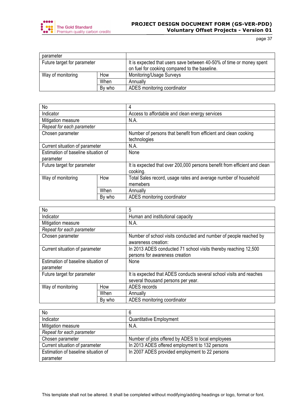![](_page_36_Picture_0.jpeg)

# **PROJECT DESIGN DOCUMENT FORM (GS-VER-PDD) Voluntary Offset Projects - Version 01**

page 37

| parameter                   |        |                                                                                                                       |
|-----------------------------|--------|-----------------------------------------------------------------------------------------------------------------------|
| Future target for parameter |        | It is expected that users save between 40-50% of time or money spent<br>on fuel for cooking compared to the baseline. |
| Way of monitoring           | How    | Monitoring/Usage Surveys                                                                                              |
|                             | When   | Annually                                                                                                              |
|                             | By who | ADES monitoring coordinator                                                                                           |

| No                                  |        | 4                                                                               |
|-------------------------------------|--------|---------------------------------------------------------------------------------|
| Indicator                           |        | Access to affordable and clean energy services                                  |
| Mitigation measure                  |        | N.A.                                                                            |
| Repeat for each parameter           |        |                                                                                 |
| Chosen parameter                    |        | Number of persons that benefit from efficient and clean cooking<br>technologies |
| Current situation of parameter      |        | N.A.                                                                            |
| Estimation of baseline situation of |        | None                                                                            |
| parameter                           |        |                                                                                 |
| Future target for parameter         |        | It is expected that over 200,000 persons benefit from efficient and clean       |
|                                     |        | cooking.                                                                        |
| Way of monitoring                   | How    | Total Sales record, usage rates and average number of household                 |
|                                     |        | memebers                                                                        |
|                                     | When   | Annually                                                                        |
|                                     | By who | ADES monitoring coordinator                                                     |

| No                                               |        | 5                                                                                                         |  |  |
|--------------------------------------------------|--------|-----------------------------------------------------------------------------------------------------------|--|--|
| Indicator                                        |        | Human and institutional capacity                                                                          |  |  |
| Mitigation measure                               |        | N.A.                                                                                                      |  |  |
| Repeat for each parameter                        |        |                                                                                                           |  |  |
| Chosen parameter                                 |        | Number of school visits conducted and number of people reached by<br>awareness creation:                  |  |  |
| Current situation of parameter                   |        | In 2013 ADES conducted 71 school visits thereby reaching 12,500<br>persons for awareness creation         |  |  |
| Estimation of baseline situation of<br>parameter |        | None                                                                                                      |  |  |
| Future target for parameter                      |        | It is expected that ADES conducts several school visits and reaches<br>several thousand persons per year. |  |  |
| How<br>Way of monitoring                         |        | ADES records                                                                                              |  |  |
| When                                             |        | Annually                                                                                                  |  |  |
|                                                  | By who | ADES monitoring coordinator                                                                               |  |  |

| <b>No</b>                           | 6                                                 |
|-------------------------------------|---------------------------------------------------|
| Indicator                           | <b>Quantitative Employment</b>                    |
| Mitigation measure                  | N.A.                                              |
| Repeat for each parameter           |                                                   |
| Chosen parameter                    | Number of jobs offered by ADES to local employees |
| Current situation of parameter      | In 2013 ADES offered employment to 132 persons    |
| Estimation of baseline situation of | In 2007 ADES provided employment to 22 persons    |
| parameter                           |                                                   |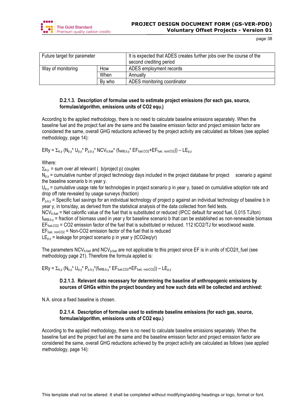![](_page_37_Picture_0.jpeg)

| Future target for parameter |     | It is expected that ADES creates further jobs over the course of the<br>second crediting period |
|-----------------------------|-----|-------------------------------------------------------------------------------------------------|
| Way of monitoring           | How | ADES employment records                                                                         |
| When                        |     | Annually                                                                                        |
| By who                      |     | ADES monitoring coordinator                                                                     |

# **D.2.1.3. Description of formulae used to estimate project emissions (for each gas, source, formulae/algorithm, emissions units of CO2 equ.)**

According to the applied methodology, there is no need to calculate baseline emissions separately. When the baseline fuel and the project fuel are the same and the baseline emission factor and project emission factor are considered the same, overall GHG reductions achieved by the project activity are calculated as follows (see applied methodology, page 14):

 $ERy = \sum_{b,y} (N_{p,y}^* U_{p,y}^* P_{p,b,y}^* NCV_{b,fuel}^* (f_{NRB,b,y}^* EF_{fuel,CO2}^+ EF_{fuel, nonCO2})) - LE_{p,y}$ 

Where:

 $\Sigma_{b,y}$  = sum over all relevant ( b/project p) couples

 $N_{p,y}$  = cumulative number of project technology days included in the project database for project scenario p against the baseline scenario b in year y.

 $U_{\text{p}}$  = cumulative usage rate for technologies in project scenario p in year y, based on cumulative adoption rate and drop off rate revealed by usage surveys (fraction)

 $P_{p, b, y}$  = Specific fuel savings for an individual technology of project p against an individual technology of baseline b in year y, in tons/day, as derived from the statistical analysis of the data collected from field tests.

NCV<sub>b,fuel</sub> = Net calorific value of the fuel that is substituted or reduced (IPCC default for wood fuel, 0.015 TJ/ton)  $f_{\text{NRb}}$ <sub>by</sub> = fraction of biomass used in year y for baseline scenario b that can be established as non-renewable biomass  $EF_{fuel,CO2}$  = CO2 emission factor of the fuel that is substituted or reduced. 112 tCO2/TJ for wood/wood waste.  $EF_{fuel. nonCO2}$  = Non-CO2 emission factor of the fuel that is reduced

 $LE<sub>p,y</sub>$  = leakage for project scenario p in year y (tCO2eq/yr)

The parameters  $NCV_{b,fuel}$  and  $NCV_{p,fuel}$  are not applicable to this project since EF is in units of tCO2/t\_fuel (see methodology page 21). Therefore the formula applied is:

 $ERV = \sum_{p} (N_{p}v^* U_{p}v^* P_{p}v^* (f_{NRB}v^* EF_{field}CQ2^+ EF_{field}CQQ2)) - LE_{p}v^*$ 

# **D.2.1.3. Relevant data necessary for determining the baseline of anthropogenic emissions by sources of GHGs within the project boundary and how such data will be collected and archived:**

N.A. since a fixed baseline is chosen.

# **D.2.1.4. Description of formulae used to estimate baseline emissions (for each gas, source, formulae/algorithm, emissions units of CO2 equ.)**

According to the applied methodology, there is no need to calculate baseline emissions separately. When the baseline fuel and the project fuel are the same and the baseline emission factor and project emission factor are considered the same, overall GHG reductions achieved by the project activity are calculated as follows (see applied methodology, page 14):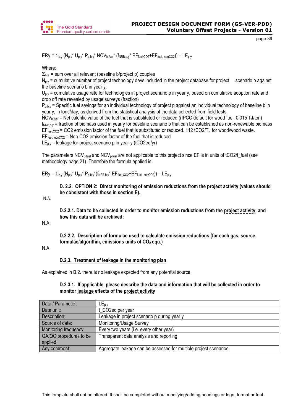![](_page_38_Picture_0.jpeg)

 $ERy = \sum_{b,y} (N_{p,y}^* U_{p,y}^* P_{p,b,y}^* NCV_{b,fuel}^* (f_{NRB,b,y}^* EF_{fuel,CO2}^+ EF_{fuel, nonCO2})) - LE_{p,y}$ 

Where:

 $\Sigma_{\rm b,v}$  = sum over all relevant (baseline b/project p) couples

 $N_{p,y}$  = cumulative number of project technology days included in the project database for project scenario p against the baseline scenario b in year y.

 $U_{p,y}$  = cumulative usage rate for technologies in project scenario p in year y, based on cumulative adoption rate and drop off rate revealed by usage surveys (fraction)

 $P_{\text{phy}}$  = Specific fuel savings for an individual technology of project p against an individual technology of baseline b in year y, in tons/day, as derived from the statistical analysis of the data collected from field tests.

NCV<sub>b,fuel</sub> = Net calorific value of the fuel that is substituted or reduced ((IPCC default for wood fuel, 0.015 TJ/ton)

 $f_{NRB,b,v}$  = fraction of biomass used in year y for baseline scenario b that can be established as non-renewable biomass  $EF_{fuel,CO2}$  = CO2 emission factor of the fuel that is substituted or reduced. 112 tCO2/TJ for wood/wood waste.

 $EF_{\text{fuel, nonCO2}}$  = Non-CO2 emission factor of the fuel that is reduced

 $LE_{p,y}$  = leakage for project scenario p in year y (tCO2eq/yr)

The parameters NCV<sub>b,fuel</sub> and NCV<sub>p,fuel</sub> are not applicable to this project since EF is in units of tCO2/t\_fuel (see methodology page 21). Therefore the formula applied is:

 $ERy = \sum_{b,y} (N_{p,y}^* U_{p,y}^* P_{p,b,y}^* (f_{NRB,b,y}^* EF_{fuel,CO2}^+ EF_{fuel, nonCO2})) - LE_{p,y}$ 

# **D. 2.2. OPTION 2: Direct monitoring of emission reductions from the project activity (values should be consistent with those in section E).**

N.A.

**D.2.2.1. Data to be collected in order to monitor emission reductions from the project activity, and how this data will be archived:**

N.A.

**D.2.2.2. Description of formulae used to calculate emission reductions (for each gas, source, formulae/algorithm, emissions units of CO<sub>2</sub> equ.)** 

N.A.

# **D.2.3. Treatment of leakage in the monitoring plan**

As explained in B.2. there is no leakage expected from any potential source.

## **D.2.3.1. If applicable, please describe the data and information that will be collected in order to monitor leakage effects of the project activity**

| Data / Parameter:      | $LE_{p,y}$                                                       |
|------------------------|------------------------------------------------------------------|
| Data unit:             | t_CO2eq per year                                                 |
| Description:           | Leakage in project scenario p during year y                      |
| Source of data:        | Monitoring/Usage Survey                                          |
| Monitoring frequency   | Every two years (i.e. every other year)                          |
| QA/QC procedures to be | Transparent data analysis and reporting                          |
| applied:               |                                                                  |
| Any comment:           | Aggregate leakage can be assessed for multiple project scenarios |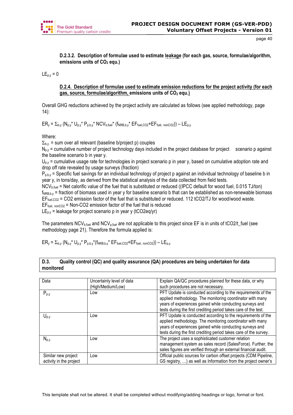![](_page_39_Picture_0.jpeg)

**D.2.3.2. Description of formulae used to estimate leakage (for each gas, source, formulae/algorithm, emissions units of CO<sub>2</sub> equ.)** 

 $LE_{p.v} = 0$ 

## **D.2.4. Description of formulae used to estimate emission reductions for the project activity (for each gas, source, formulae/algorithm, emissions units of CO2 equ.)**

Overall GHG reductions achieved by the project activity are calculated as follows (see applied methodology, page 14):

 $ER_y = \sum_{b,y} (N_{p,y}^* U_{p,y}^* P_{p,b,y}^* NC V_{b, fuel}^* (f_{NRB,b,y}^* EF_{fuel,CO2}^+ EF_{fuel, nonCO2})) - LE_{p,y}$ 

Where:

 $\Sigma_{b,v}$  = sum over all relevant (baseline b/project p) couples

 $N_{\text{p}}$  = cumulative number of project technology days included in the project database for project scenario p against the baseline scenario b in year y.

 $U_{px}$  = cumulative usage rate for technologies in project scenario p in year y, based on cumulative adoption rate and drop off rate revealed by usage surveys (fraction)

 $P_{p, b, y}$  = Specific fuel savings for an individual technology of project p against an individual technology of baseline b in year y, in tons/day, as derived from the statistical analysis of the data collected from field tests.

NCV<sub>b fuel</sub> = Net calorific value of the fuel that is substituted or reduced ((IPCC default for wood fuel, 0.015 TJ/ton)

 $f_{NRB,b,y}$  = fraction of biomass used in year y for baseline scenario b that can be established as non-renewable biomass EF<sub>fuel,CO2</sub> = CO2 emission factor of the fuel that is substituted or reduced. 112 tCO2/TJ for wood/wood waste.

 $EF_{fuel, nonCO2}$  = Non-CO2 emission factor of the fuel that is reduced

 $LE_{p,y}$  = leakage for project scenario p in year y (tCO2eq/yr)

The parameters  $NCV_{b,fuel}$  and  $NCV_{p,fuel}$  are not applicable to this project since EF is in units of tCO2/t\_fuel (see methodology page 21). Therefore the formula applied is:

 $ER_y = \sum_{b,y} (N_{p,y}^* U_{p,y}^* P_{p,b,y}^* (f_{NRB,b,y}^* EF_{fuel,CO2}^+ EF_{fuel,nonCO2})) - LE_{p,y}$ 

# **D.3. Quality control (QC) and quality assurance (QA) procedures are being undertaken for data monitored**

| Data                                           | Uncertainty level of data<br>(High/Medium/Low) | Explain QA/QC procedures planned for these data, or why<br>such procedures are not necessary.                                                                                                                                                              |
|------------------------------------------------|------------------------------------------------|------------------------------------------------------------------------------------------------------------------------------------------------------------------------------------------------------------------------------------------------------------|
| $P_{p,y}$                                      | Low                                            | PFT Update is conducted according to the requirements of the<br>applied methodology. The monitoring coordinator with many<br>years of experiences gained while conducting surveys and<br>tests during the first crediting period takes care of the test.   |
| $U_{p,y}$                                      | Low                                            | PFT Update is conducted according to the requirements of the<br>applied methodology. The monitoring coordinator with many<br>years of experiences gained while conducting surveys and<br>tests during the first crediting period takes care of the survey. |
| $N_{p,y}$                                      | Low                                            | The project uses a sophisticated customer relation<br>management system as sales record (SalesForce). Further, the<br>sales figures are verified through an external financial audit.                                                                      |
| Similar new project<br>activity in the project | Low                                            | Official public sources for carbon offset projects (CDM Pipeline,<br>GS registry, ) as well as Information from the project owner's                                                                                                                        |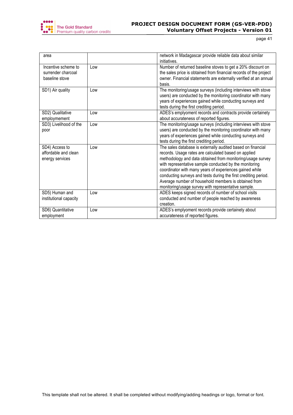![](_page_40_Picture_0.jpeg)

| area                                                        |     | network in Madagascar provide reliable data about similar<br>initiatives.                                                                                                                                                                                                                                                                                                                                                                                                                |
|-------------------------------------------------------------|-----|------------------------------------------------------------------------------------------------------------------------------------------------------------------------------------------------------------------------------------------------------------------------------------------------------------------------------------------------------------------------------------------------------------------------------------------------------------------------------------------|
| Incentive scheme to<br>surrender charcoal<br>baseline stove | Low | Number of returned baseline stoves to get a 20% discount on<br>the sales price is obtained from financial records of the project<br>owner. Financial statements are externally verified at an annual<br>basis.                                                                                                                                                                                                                                                                           |
| SD1) Air quality                                            | Low | The monitoring/usage surveys (including interviews with stove<br>users) are conducted by the monitoring coordinator with many<br>years of experiences gained while conducting surveys and<br>tests during the first crediting period.                                                                                                                                                                                                                                                    |
| SD2) Qualitative<br>employmement                            | Low | ADES's emplyoment records and contracts provide certainety<br>about accurateness of reported figures.                                                                                                                                                                                                                                                                                                                                                                                    |
| SD3) Livelihood of the<br>poor                              | Low | The monitoring/usage surveys (including interviews with stove<br>users) are conducted by the monitoring coordinator with many<br>years of experiences gained while conducting surveys and<br>tests during the first crediting period.                                                                                                                                                                                                                                                    |
| SD4) Access to<br>affordable and clean<br>energy services   | Low | The sales database is externally audited based on financial<br>records. Usage rates are calculated based on applied<br>methodology and data obtained from monitoring/usage survey<br>with representative sample conducted by the monitoring<br>coordinator with many years of experiences gained while<br>conducting surveys and tests during the first crediting period.<br>Average number of household members is obtained from<br>monitoring/usage survey with representative sample. |
| SD5) Human and<br>institutional capacity                    | Low | ADES keeps signed records of number of school visits<br>conducted and number of people reached by awareness<br>creation.                                                                                                                                                                                                                                                                                                                                                                 |
| SD6) Quantitative<br>employment                             | Low | ADES's emplyoment records provide certainety about<br>accurateness of reported figures.                                                                                                                                                                                                                                                                                                                                                                                                  |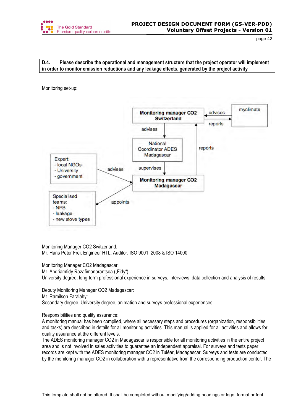![](_page_41_Picture_0.jpeg)

# **D.4. Please describe the operational and management structure that the project operator will implement in order to monitor emission reductions and any leakage effects, generated by the project activity**

Monitoring set-up:

![](_page_41_Figure_5.jpeg)

Monitoring Manager CO2 Switzerland: Mr. Hans Peter Frei, Engineer HTL, Auditor: ISO 9001: 2008 & ISO 14000

Monitoring Manager CO2 Madagascar:

Mr. Andriamfidy Razafimanarantsoa ("Fidy")

University degree, long-term professional experience in surveys, interviews, data collection and analysis of results.

Deputy Monitoring Manager CO2 Madagascar:

Mr. Ramilson Faralahy:

Secondary degree, University degree, animation and surveys professional experiences

Responsibilities and quality assurance:

A monitoring manual has been compiled, where all necessary steps and procedures (organization, responsibilities, and tasks) are described in details for all monitoring activities. This manual is applied for all activities and allows for quality assurance at the different levels.

The ADES monitoring manager CO2 in Madagascar is responsible for all monitoring activities in the entire project area and is not involved in sales activities to guarantee an independent appraisal. For surveys and tests paper records are kept with the ADES monitoring manager CO2 in Tuléar, Madagascar. Surveys and tests are conducted by the monitoring manager CO2 in collaboration with a representative from the corresponding production center. The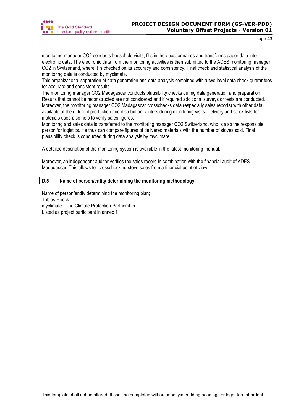![](_page_42_Picture_0.jpeg)

monitoring manager CO2 conducts household visits, fills in the questionnaires and transforms paper data into electronic data. The electronic data from the monitoring activities is then submitted to the ADES monitoring manager CO2 in Switzerland, where it is checked on its accuracy and consistency. Final check and statistical analysis of the monitoring data is conducted by myclimate.

This organizational separation of data generation and data analysis combined with a two level data check guarantees for accurate and consistent results.

The monitoring manager CO2 Madagascar conducts plausibility checks during data generation and preparation. Results that cannot be reconstructed are not considered and if required additional surveys or tests are conducted. Moreover, the monitoring manager CO2 Madagascar crosschecks data (especially sales reports) with other data available at the different production and distribution centers during monitoring visits. Delivery and stock lists for materials used also help to verify sales figures.

Monitoring and sales data is transferred to the monitoring manager CO2 Switzerland, who is also the responsible person for logistics. He thus can compare figures of delivered materials with the number of stoves sold. Final plausibility check is conducted during data analysis by myclimate.

A detailed description of the monitoring system is available in the latest monitoring manual.

Moreover, an independent auditor verifies the sales record in combination with the financial audit of ADES Madagascar. This allows for crosschecking stove sales from a financial point of view.

# **D.5 Name of person/entity determining the monitoring methodology:**

Name of person/entity determining the monitoring plan; Tobias Hoeck myclimate - The Climate Protection Partnership Listed as project participant in annex 1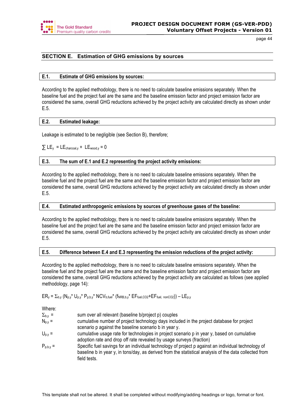![](_page_43_Picture_0.jpeg)

# **SECTION E. Estimation of GHG emissions by sources**

## **E.1. Estimate of GHG emissions by sources:**

According to the applied methodology, there is no need to calculate baseline emissions separately. When the baseline fuel and the project fuel are the same and the baseline emission factor and project emission factor are considered the same, overall GHG reductions achieved by the project activity are calculated directly as shown under E.5.

# **E.2. Estimated leakage:**

Leakage is estimated to be negligible (see Section B), therefore;

# $\Sigma$  LE<sub>v</sub> = LE<sub>charcoal, v</sub> + LE<sub>wood, v</sub> = 0

# **E.3. The sum of E.1 and E.2 representing the project activity emissions:**

According to the applied methodology, there is no need to calculate baseline emissions separately. When the baseline fuel and the project fuel are the same and the baseline emission factor and project emission factor are considered the same, overall GHG reductions achieved by the project activity are calculated directly as shown under E.5.

## **E.4. Estimated anthropogenic emissions by sources of greenhouse gases of the baseline:**

According to the applied methodology, there is no need to calculate baseline emissions separately. When the baseline fuel and the project fuel are the same and the baseline emission factor and project emission factor are considered the same, overall GHG reductions achieved by the project activity are calculated directly as shown under E.5.

# **E.5. Difference between E.4 and E.3 representing the emission reductions of the project activity:**

According to the applied methodology, there is no need to calculate baseline emissions separately. When the baseline fuel and the project fuel are the same and the baseline emission factor and project emission factor are considered the same, overall GHG reductions achieved by the project activity are calculated as follows (see applied methodology, page 14):

# $ER_y = \sum_{b,y} (N_{p,y}^* U_{p,y}^* P_{p,b,y}^* NCV_{b, fuel}^* (f_{NRB,b,y}^* EF_{fuel,CO2} + EF_{fuel, nonCO2})) - LE_{p,y}$

Where:

| $\Sigma_{b,y}$ = | sum over all relevant (baseline b/project p) couples |
|------------------|------------------------------------------------------|
|------------------|------------------------------------------------------|

- $N_{p,y}$  = cumulative number of project technology days included in the project database for project scenario p against the baseline scenario b in year y.
- $U_{p,y}$  = cumulative usage rate for technologies in project scenario p in year y, based on cumulative adoption rate and drop off rate revealed by usage surveys (fraction)
- $P_{p,b,y}$  = Specific fuel savings for an individual technology of project p against an individual technology of baseline b in year y, in tons/day, as derived from the statistical analysis of the data collected from field tests.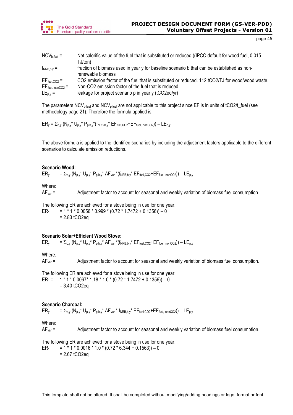![](_page_44_Picture_0.jpeg)

| $\mathsf{NCV}_{\mathsf{b},\mathsf{fuel}} =$ | Net calorific value of the fuel that is substituted or reduced ((IPCC default for wood fuel, 0.015 |
|---------------------------------------------|----------------------------------------------------------------------------------------------------|
|                                             | TJ/ton)                                                                                            |
| $f_{NRB,b,v}$ =                             | fraction of biomass used in year y for baseline scenario b that can be established as non-         |
|                                             | renewable biomass                                                                                  |
| $EF_{\text{fuel,CO2}} =$                    | CO2 emission factor of the fuel that is substituted or reduced. 112 tCO2/TJ for wood/wood waste.   |
| $EF_{fuel, nonCO2}$ =                       | Non-CO2 emission factor of the fuel that is reduced                                                |
| $LE_{p,y} =$                                | leakage for project scenario p in year y (tCO2eq/yr)                                               |

The parameters NCV<sub>b,fuel</sub> and NCV<sub>p,fuel</sub> are not applicable to this project since EF is in units of tCO2/t\_fuel (see methodology page 21). Therefore the formula applied is:

 $ER_y = \sum_{b,y} (N_{p,y}^* U_{p,y}^* P_{p,b,y}^* (f_{NRB,b,y}^* EF_{fuel,CO2}^+ EF_{fuel, nonCO2})) - LE_{p,y}$ 

The above formula is applied to the identified scenarios by including the adjustment factors applicable to the different scenarios to calculate emission reductions.

## **Scenario Wood:**

 $ER_y = \sum_{b,y} (N_{p,y}^* U_{p,y}^* P_{p,b,y}^* AF_{var}^* (f_{NRB,b,y}^* EF_{fuel,CO2} + EF_{fuel, nonCO2})) - LE_{p,y}$ 

#### Where:

AF<sub>var</sub> = Adjustment factor to account for seasonal and weekly variation of biomass fuel consumption.

The following ER are achieved for a stove being in use for one year: ER<sub>1</sub> = 1 \* 1 \* 0.0056 \* 0.999 \* (0.72 \* 1.7472 + 0.1356)) – 0 = 2.83 tCO2eq

## **Scenario Solar+Efficient Wood Stove:**

 $ER_y = \sum_{b,y} (N_{p,y}^* U_{p,y}^* P_{p,b,y}^* AF_{var}^* (f_{NRB,b,y}^* EF_{fuel,CO2} + EF_{fuel, nonCO2})) - LE_{p,y}$ 

Where:

AF<sub>var</sub> = Adjustment factor to account for seasonal and weekly variation of biomass fuel consumption.

The following ER are achieved for a stove being in use for one year: ER<sub>1</sub> = 1 \* 1 \* 0.0067\* 1.18 \* 1.0 \* (0.72 \* 1.7472 + 0.1356)) – 0  $= 3.40$  tCO2eq

## **Scenario Charcoal:**

 $ER_y = \sum_{b,y} (N_{b,y}^* U_{b,y}^* P_{b,b,y}^* A F_{var}^* f_{NRB,b,y}^* E F_{fuel,CO2} + EF_{fuel, nonCO2})) - LE_{b,y}$ 

Where:

AF<sub>var</sub> = Adjustment factor to account for seasonal and weekly variation of biomass fuel consumption.

The following ER are achieved for a stove being in use for one year:

ER<sub>1</sub> = 1 \* 1 \* 0.0016 \* 1.0 \* (0.72 \* 6.344 + 0.1563)) – 0  $= 2.67$  tCO2eq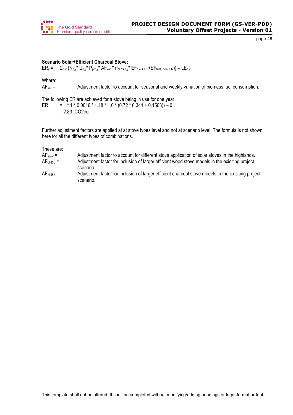![](_page_45_Picture_0.jpeg)

## **Scenario Solar+Efficient Charcoal Stove:**

 $ER_y = \sum_{b,y} (N_{p,y}^* U_{p,y}^* P_{p,b,y}^* AF_{var}^* (f_{NRB,b,y}^* EF_{fuel,CO2}^+ EF_{fuel, nonCO2})) - LE_{p,y}$ 

Where:

AF<sub>var</sub> = Adjustment factor to account for seasonal and weekly variation of biomass fuel consumption.

The following ER are achieved for a stove being in use for one year:

ER<sub>1</sub> = 1<sup>\*</sup> 1 \* 0.0016 \* 1.18 \* 1.0 \* (0.72 \* 6.344 + 0.1563)) – 0 = 2.83 tCO2eq

Further adjustment factors are applied at at stove types level and not at scenario level. The formula is not shown here for all the different types of combinations.

These are:

| $AF_{solar}$ = | Adjustment factor to account for different stove application of solar stoves in the highlands. |
|----------------|------------------------------------------------------------------------------------------------|
| $AFoli45b =$   | Adjustment factor for inclusion of larger efficient wood stove models in the exisiting project |
|                | scenario.                                                                                      |

| $AFoli45c =$ | Adjustment factor for inclusion of larger efficient charcoal stove models in the exisiting project |
|--------------|----------------------------------------------------------------------------------------------------|
|              | scenario.                                                                                          |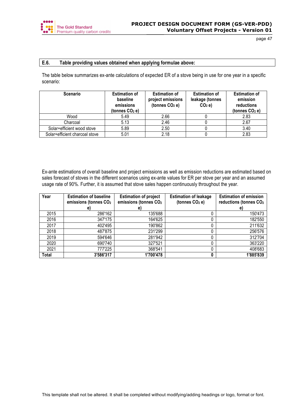![](_page_46_Picture_0.jpeg)

# **E.6. Table providing values obtained when applying formulae above:**

The table below summarizes ex-ante calculations of expected ER of a stove being in use for one year in a specific scenario:

| <b>Scenario</b>                | <b>Estimation of</b><br>baseline<br>emissions<br>(tonnes $CO2$ e) | <b>Estimation of</b><br>project emissions<br>(tonnes $CO2$ e) | <b>Estimation of</b><br>leakage (tonnes<br>$CO2$ e) | <b>Estimation of</b><br>emission<br>reductions<br>(tonnes $CO2$ e) |
|--------------------------------|-------------------------------------------------------------------|---------------------------------------------------------------|-----------------------------------------------------|--------------------------------------------------------------------|
| Wood                           | 5.49                                                              | 2.66                                                          |                                                     | 2.83                                                               |
| Charcoal                       | 5.13                                                              | 2.46                                                          |                                                     | 2.67                                                               |
| Solar+efficient wood stove     | 5.89                                                              | 2.50                                                          |                                                     | 3.40                                                               |
| Solar+efficient charcoal stove | 5.01                                                              | 2.18                                                          |                                                     | 2.83                                                               |

Ex-ante estimations of overall baseline and project emissions as well as emission reductions are estimated based on sales forecast of stoves in the different scenarios using ex-ante values for ER per stove per year and an assumed usage rate of 90%. Further, it is assumed that stove sales happen continuously throughout the year.

| Year  | <b>Estimation of baseline</b><br>emissions (tonnes CO <sub>2</sub> | <b>Estimation of project</b><br>emissions (tonnes CO <sub>2</sub> | <b>Estimation of leakage</b><br>(tonnes CO <sub>2</sub> e) | <b>Estimation of emission</b><br>reductions (tonnes CO <sub>2</sub> |
|-------|--------------------------------------------------------------------|-------------------------------------------------------------------|------------------------------------------------------------|---------------------------------------------------------------------|
|       | e)                                                                 | e)                                                                |                                                            | e)                                                                  |
| 2015  | 286'162                                                            | 135'688                                                           |                                                            | 150'473                                                             |
| 2016  | 347'175                                                            | 164'625                                                           |                                                            | 182'550                                                             |
| 2017  | 402'495                                                            | 190'862                                                           |                                                            | 211'632                                                             |
| 2018  | 487'875                                                            | 231'299                                                           |                                                            | 256'576                                                             |
| 2019  | 594'646                                                            | 281'942                                                           |                                                            | 312'704                                                             |
| 2020  | 690'740                                                            | 327'521                                                           |                                                            | 363'220                                                             |
| 2021  | 777'225                                                            | 368'541                                                           |                                                            | 408'683                                                             |
| Total | 3'586'317                                                          | 1'700'478                                                         |                                                            | 1'885'839                                                           |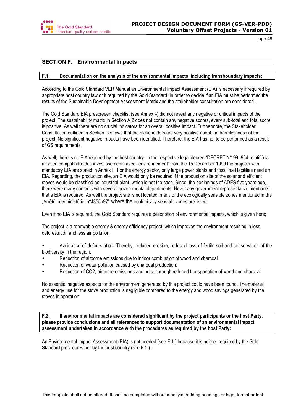![](_page_47_Picture_0.jpeg)

# **SECTION F. Environmental impacts**

## **F.1. Documentation on the analysis of the environmental impacts, including transboundary impacts:**

According to the Gold Standard VER Manual an Environmental Impact Assessment (EIA) is necessary if required by appropriate host country law or if required by the Gold Standard. In order to decide if an EIA must be performed the results of the Sustainable Development Assessment Matrix and the stakeholder consultation are considered.

The Gold Standard EIA prescreeen checklist (see Annex 4) did not reveal any negative or critical impacts of the project. The sustainability matrix in Section A.2 does not contain any negative scores, every sub-total and total score is positive. As well there are no crucial indicators for an overall positive impact. Furthermore, the Stakeholder Consultation outlined in Section G shows that the stakeholders are very positive about the harmlessness of the project. No significant negative impacts have been identified. Therefore, the EIA has not to be performed as a result of GS requirements.

As well, there is no EIA required by the host country. In the respective legal decree "DECRET N° 99 -954 relatif à la mise en compatibilité des investissements avec l'environnement" from the 15 December 1999 the projects with mandatory EIA are stated in Annex I. For the energy sector, only large power plants and fossil fuel facilities need an EIA. Regarding, the production site, an EIA would only be required if the production site of the solar and efficient stoves would be classified as industrial plant, which is not the case. Since, the beginnings of ADES five years ago, there were many contacts with several governmental departments. Never any government representative mentioned that a EIA is required. As well the project site is not located in any of the ecologically sensible zones mentioned in the "Arrêté interministériel n°4355 /97" where the ecologically sensible zones are listed.

Even if no EIA is required, the Gold Standard requires a description of environmental impacts, which is given here;

The project is a renewable energy & energy efficiency project, which improves the environment resulting in less deforestation and less air pollution;

• Avoidance of deforestation. Thereby, reduced erosion, reduced loss of fertile soil and conservation of the biodiversity in the region.

- Reduction of airborne emissions due to indoor combustion of wood and charcoal.
- Reduction of water pollution caused by charcoal production.
- Reduction of CO2, airborne emissions and noise through reduced transportation of wood and charcoal

No essential negative aspects for the environment generated by this project could have been found. The material and energy use for the stove production is negligible compared to the energy and wood savings generated by the stoves in operation.

**F.2. If environmental impacts are considered significant by the project participants or the host Party, please provide conclusions and all references to support documentation of an environmental impact assessment undertaken in accordance with the procedures as required by the host Party:**

An Environmental Impact Assessment (EIA) is not needed (see F.1.) because it is neither required by the Gold Standard procedures nor by the host country (see F.1.).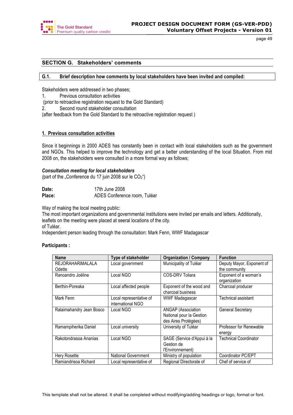![](_page_48_Picture_0.jpeg)

# **SECTION G. Stakeholders' comments**

## **G.1. Brief description how comments by local stakeholders have been invited and compiled:**

Stakeholders were addressed in two phases;

- 1. Previous consultation activities
- (prior to retroactive registration request to the Gold Standard)
- 2. Second round stakeholder consultation

(after feedback from the Gold Standard to the retroactive registration request )

## **1. Previous consultation activities**

Since it beginnings in 2000 ADES has constantly been in contact with local stakeholders such as the government and NGOs. This helped to improve the technology and get a better understanding of the local Situation. From mid 2008 on, the stakeholders were consulted in a more formal way as follows;

## *Consultation meeting for local stakeholders*

(part of the "Conference du 17 juin 2008 sur le  $CO<sub>2</sub>$ ")

| Date:  | 17th June 2008               |
|--------|------------------------------|
| Place: | ADES Conference room, Tuléar |

Way of making the local meeting public:

The most important organizations and governmental institutions were invited per emails and letters. Additionally, leaflets on the meeting were placed at seeral locations of the city. of Tuléar.

Independent person leading through the consultation: Mark Fenn, WWF Madagascar

## **Participants :**

| <b>Name</b>              | Type of stakeholder        | <b>Organization / Company</b> | <b>Function</b>              |  |
|--------------------------|----------------------------|-------------------------------|------------------------------|--|
| REJORAHARIMALALA         | Local government           | Municipality of Tuléar        | Deputy Mayor, Exponent of    |  |
| Odette                   |                            |                               | the community                |  |
| Ranoandro Joëline        | Local NGO                  | COS-DRV Toliara               | Exponent of a woman's        |  |
|                          |                            |                               | organization                 |  |
| Berthin-Poreaka          | Local affected people      | Exponent of the wood and      | Charcoal producer            |  |
|                          |                            | charcoal business             |                              |  |
| Mark Fenn                | Local representative of    | <b>WWF Madagascar</b>         | Technical assistant          |  |
|                          | international NGO          |                               |                              |  |
| Ralaimahandry Jean Bosco | Local NGO                  | ANGAP (Association            | <b>General Secretary</b>     |  |
|                          |                            | National pour la Gestion      |                              |  |
|                          |                            | des Aires Protégées)          |                              |  |
| Ramampiherika Daniel     | Local university           | University of Tuléar          | Professor for Renewable      |  |
|                          |                            |                               | energy                       |  |
| Rakotondrasoa Ananias    | Local NGO                  | SAGE (Service d'Appui à la    | <b>Technical Coordinator</b> |  |
|                          |                            | Gestion de                    |                              |  |
|                          |                            | l'Environnement)              |                              |  |
| Hery Rosette             | <b>National Government</b> | Ministry of population        | Coordinator PC/EPT           |  |
| Ramiandrisoa Richard     | Local representative of    | Regional Directorate of       | Chef of service of           |  |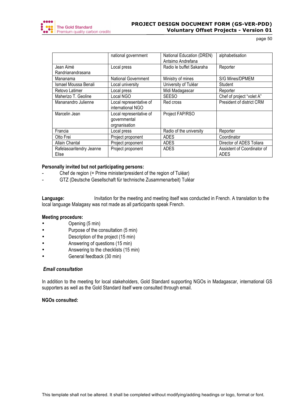![](_page_49_Picture_0.jpeg)

|                                   | national government                                      | National Education (DREN)<br>Antsimo Andrefana | alphabetisation                     |
|-----------------------------------|----------------------------------------------------------|------------------------------------------------|-------------------------------------|
| Jean Aimé                         | Local press                                              | Radio le buffet Sakaraha                       | Reporter                            |
| Randrianandrasana                 |                                                          |                                                |                                     |
| Mananama                          | <b>National Government</b>                               | Ministry of mines                              | S/G Mines/DPMEM                     |
| Ismael Moussa Benali              | Local university                                         | University of Tuléar                           | Student                             |
| Retovo Latimer                    | Local press                                              | Midi Madagascar                                | Reporter                            |
| Maherizo T. Geoline               | Local NGO                                                | <b>SEESO</b>                                   | Chef of project "volet A"           |
| Mananandro Julienne               | Local representative of<br>international NGO             | Red cross                                      | President of district CRM           |
| Marcelin Jean                     | Local representative of<br>governmental<br>orgnanisation | Project FAP/RSO                                |                                     |
| Francia                           | Local press                                              | Radio of the university                        | Reporter                            |
| Otto Frei                         | Project proponent                                        | <b>ADES</b>                                    | Coordinator                         |
| <b>Allain Chantal</b>             | Project proponent                                        | <b>ADES</b>                                    | Director of ADES Toliara            |
| Rafelasoaritendry Jeanne<br>Elise | Project proponent                                        | <b>ADES</b>                                    | Assistent of Coordinator of<br>ADES |

## **Personally invited but not participating persons:**

- Chef de region (= Prime minister/president of the region of Tuléar)
- GTZ (Deutsche Gesellschaft für technische Zusammenarbeit) Tuléar

Language: Invitation for the meeting and meeting itself was conducted in French. A translation to the local language Malagasy was not made as all participants speak French.

## **Meeting procedure:**

- Opening (5 min)
- Purpose of the consultation (5 min)
- Description of the project (15 min)
- Answering of questions (15 min)
- Answering to the checklists (15 min)
- General feedback (30 min)

# *Email consultation*

In addition to the meeting for local stakeholders, Gold Standard supporting NGOs in Madagascar, international GS supporters as well as the Gold Standard itself were consulted through email.

## **NGOs consulted:**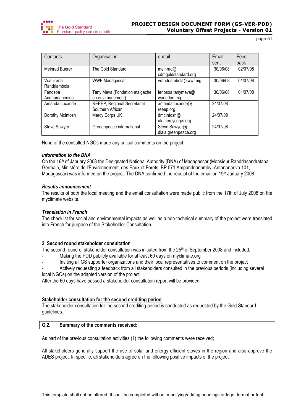![](_page_50_Picture_0.jpeg)

| Contacts         | Organisation                  | e-mail                             | Email    | Feed-    |
|------------------|-------------------------------|------------------------------------|----------|----------|
|                  |                               |                                    | sent     | back     |
| Meinrad Buerer   | The Gold Standard             | meinrad $@$<br>cdmgoldstandard.org | 30/06/08 | 02/07/08 |
| Voahirana        | <b>WWF Madagascar</b>         | vrandriambola@wwf.mg               | 30/06/08 | 01/07/08 |
| Randriambola     |                               |                                    |          |          |
| Fenosoa          | Tany Meva (Fondation malgache | fenosoa.tanymeva@                  | 30/06/08 | 01/07/08 |
| Andriamahenina   | en environnement)             | wanadoo.mg                         |          |          |
| Amanda Luxande   | REEEP, Regional Secretariat   | amanda.luxande@                    | 24/07/08 |          |
|                  | Southern African              | reeep.org                          |          |          |
| Dorothy McIntosh | Mercy Corps UK                | dmcIntosh@                         | 24/07/08 |          |
|                  |                               | uk.mercycorps.org                  |          |          |
| Steve Sawyer     | Greeenpeace international     | Steve.Sawyer@                      | 24/07/08 |          |
|                  |                               | diala.greenpeace.org               |          |          |

None of the consulted NGOs made any critical comments on the project.

## *Information to the DNA*

On the 16<sup>th</sup> of January 2008 the Designated National Authority (DNA) of Madagascar (Monsieur Randriasandratana Germain, Ministére de l'Environnement, des Eaux et Forets, BP.571 Ampandrianomby, Antananarivo 101, Madagascar) was informed on the project. The DNA confirmed the receipt of the email on 19<sup>th</sup> January 2008.

## *Results announcement*

The results of both the local meeting and the email consultation were made public from the 17th of July 2008 on the myclimate website.

## *Translation in French*

The checklist for social and environmental impacts as well as a non-technical summary of the project were translated into French for purpose of the Stakeholder Consultation.

## **2. Second round stakeholder consultation**

The second round of stakeholder consultation was initiated from the 25<sup>th</sup> of September 2008 and included;

- Making the PDD publicly available for at least 60 days on myclimate.org
- Inviting all GS supporter organizations and their local representatives to comment on the project
- Actively requesting a feedback from all stakeholders consulted in the previous periods (including several local NGOs) on the adapted version of the project.

After the 60 days have passed a stakeholder consultation report will be provided.

## **Stakeholder consultation for the second crediting period**

The stakeholder consultation for the second crediting period is conducted as requested by the Gold Standard guidelines.

## **G.2. Summary of the comments received:**

As part of the previous consultation activities (1) the following comments were received;

All stakeholders generally support the use of solar and energy efficient stoves in the region and also approve the ADES project. In specific, all stakeholders agree on the following positive impacts of the project;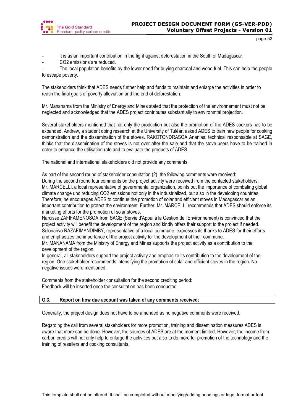![](_page_51_Picture_0.jpeg)

- it is as an important contribution in the fight against deforestation in the South of Madagascar.
- CO2 emissions are reduced.

The local population benefits by the lower need for buying charcoal and wood fuel. This can help the people to escape poverty.

The stakeholders think that ADES needs further help and funds to maintain and enlarge the activities in order to reach the final goals of poverty alleviation and the end of deforestation.

Mr. Mananama from the Ministry of Energy and Mines stated that the protection of the environnement must not be neglected and acknowledged that the ADES project contributes substantially to environmtal projection.

Several stakeholders mentioned that not only the production but also the promotion of the ADES cookers has to be expanded. Andrew, a student doing research at the University of Tuléar, asked ADES to train new people for cooking demonstration and the dissemination of the stoves. RAKOTONDRASOA Ananias, technical responsable at SAGE, thinks that the dissemination of the stoves is not over after the sale and that the stove users have to be trained in order to enhance the utilisation rate and to evaluate the products of ADES.

The national and international stakeholders did not provide any comments.

As part of the second round of stakeholder consultation (2) .the following comments were received: During the second round four comments on the project activity were received from the contacted stakeholders.

Mr. MARCELLI, a local representative of governmental organization, points out the importance of combating global climate change und reducing CO2 emissions not only in the industrialized, but also in the developing countries. Therefore, he encourages ADES to continue the promotion of solar and efficient stoves in Madagascar as an important contribution to protect the environment. Further, Mr. MARCELLI recommends that ADES should enforce its marketing efforts for the promotion of solar stoves.

Narcisse ZAFIFAMENOSOA from SAGE (Servie d'Appui à la Gestion de l'Environnement) is convinced that the project activity will benefit the development of the region and kindly offers their support to the project if needed. Solonarivo RAZAFIMANDIMBY, representative of a local commune, expresses its thanks to ADES for their efforts and emphasizes the importance of the project activity for the development of their commune.

Mr. MANANAMA from the Ministry of Energy and Mines supports the project activity as a contribution to the development of the region.

In general, all stakeholders support the project activity and emphasize its contribution to the development of the region. One stakeholder recommends intensifying the promotion of solar and efficient stoves in the region. No negative issues were mentioned.

Comments from the stakeholder consultation for the second crediting period: Feedback will be inserted once the consultation has been conducted.

# **G.3. Report on how due account was taken of any comments received:**

Generally, the project design does not have to be amended as no negative comments were received.

Regarding the call from several stakeholders for more promotion, training and dissemination measures ADES is aware that more can be done. However, the sources of ADES are at the moment limited. However, the income from carbon credits will not only help to enlarge the activities but also to do more for promotion of the technology and the training of resellers and cooking consultants.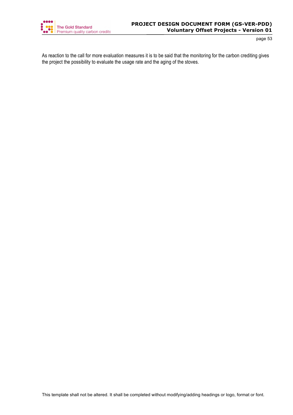![](_page_52_Picture_0.jpeg)

As reaction to the call for more evaluation measures it is to be said that the monitoring for the carbon crediting gives the project the possibility to evaluate the usage rate and the aging of the stoves.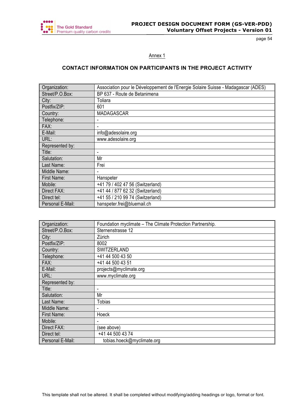![](_page_53_Picture_0.jpeg)

## Annex 1

# **CONTACT INFORMATION ON PARTICIPANTS IN THE PROJECT ACTIVITY**

| Organization:    | Association pour le Développement de l'Energie Solaire Suisse - Madagascar (ADES) |
|------------------|-----------------------------------------------------------------------------------|
| Street/P.O.Box:  | BP 637 - Route de Betanimena                                                      |
| City:            | Toliara                                                                           |
| Postfix/ZIP:     | 601                                                                               |
| Country:         | <b>MADAGASCAR</b>                                                                 |
| Telephone:       |                                                                                   |
| FAX:             |                                                                                   |
| E-Mail:          | info@adesolaire.org                                                               |
| URL:             | www.adesolaire.org                                                                |
| Represented by:  |                                                                                   |
| Title:           | ۰                                                                                 |
| Salutation:      | Mr                                                                                |
| Last Name:       | Frei                                                                              |
| Middle Name:     |                                                                                   |
| First Name:      | Hanspeter                                                                         |
| Mobile:          | +41 79 / 402 47 56 (Switzerland)                                                  |
| Direct FAX:      | +41 44 / 877 62 32 (Switzerland)                                                  |
| Direct tel:      | +41 55 / 210 99 74 (Switzerland)                                                  |
| Personal E-Mail: | hanspeter.frei@bluemail.ch                                                        |

| Organization:    | Foundation myclimate - The Climate Protection Partnership. |
|------------------|------------------------------------------------------------|
| Street/P.O.Box:  | Sternenstrasse 12                                          |
| City:            | Zürich                                                     |
| Postfix/ZIP:     | 8002                                                       |
| Country:         | SWITZERLAND                                                |
| Telephone:       | +41 44 500 43 50                                           |
| FAX:             | +41 44 500 43 51                                           |
| E-Mail:          | projects@myclimate.org                                     |
| URL:             | www.myclimate.org                                          |
| Represented by:  |                                                            |
| Title:           |                                                            |
| Salutation:      | Mr                                                         |
| Last Name:       | <b>Tobias</b>                                              |
| Middle Name:     |                                                            |
| First Name:      | Hoeck                                                      |
| Mobile:          |                                                            |
| Direct FAX:      | (see above)                                                |
| Direct tel:      | +41 44 500 43 74                                           |
| Personal E-Mail: | tobias.hoeck@myclimate.org                                 |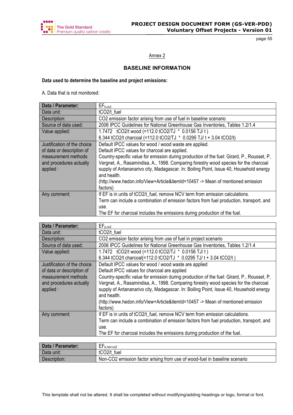![](_page_54_Picture_0.jpeg)

Annex 2

# **BASELINE INFORMATION**

# **Data used to determine the baseline and project emissions:**

A. Data that is not monitored:

| Data / Parameter:           | EF <sub>b.co2</sub>                                                                                   |
|-----------------------------|-------------------------------------------------------------------------------------------------------|
| Data unit:                  | tCO2/t fuel                                                                                           |
| Description:                | CO2 emission factor arising from use of fuel in baseline scenario                                     |
| Source of data used:        | 2006 IPCC Guidelines for National Greenhouse Gas Inventories, Tables 1.2/1.4                          |
| Value applied:              | 1.7472 tCO2/t wood (=112.0 tCO2/TJ * 0.0156 TJ/t)                                                     |
|                             | 6.344 tCO2/t charcoal (=112.0 tCO2/TJ * 0.0295 TJ/ t + 3.04 tCO2/t)                                   |
| Justification of the choice | Default IPCC values for wood / wood waste are applied.                                                |
| of data or description of   | Default IPCC values for charcoal are applied.                                                         |
| measurement methods         | Country-specific value for emission during production of the fuel: Girard, P., Rousset, P,            |
| and procedures actually     | Vergnet, A., Rasamindisa, A., 1998. Comparing forestry wood species for the charcoal                  |
| applied :                   | supply of Antananarivo city, Madagascar. In: Boiling Point, Issue 40, Household energy<br>and health. |
|                             | (http://www.hedon.info/View+Article&itemId=10457 -> Mean of mentioned emission                        |
|                             | factors)                                                                                              |
| Any comment:                | If EF is in units of tCO2/t fuel, remove NCV term from emission calculations.                         |
|                             | Term can include a combination of emission factors from fuel production, transport, and               |
|                             | use.                                                                                                  |
|                             | The EF for charcoal includes the emissions during production of the fuel.                             |

| EF <sub>p.co2</sub>                                                                        |
|--------------------------------------------------------------------------------------------|
| tCO <sub>2/t</sub> fuel                                                                    |
| CO2 emission factor arising from use of fuel in project scenario                           |
| 2006 IPCC Guidelines for National Greenhouse Gas Inventories, Tables 1.2/1.4               |
| 1.7472 tCO2/t wood (=112.0 tCO2/TJ * 0.0156 TJ/t)                                          |
| 6.344 tCO2/t charcoal(=112.0 tCO2/TJ * 0.0295 TJ/ t + 3.04 tCO2/t)                         |
| Default IPCC values for wood / wood waste are applied                                      |
| Default IPCC values for charcoal are applied                                               |
| Country-specific value for emission during production of the fuel: Girard, P., Rousset, P. |
| Vergnet, A., Rasamindisa, A., 1998. Comparing forestry wood species for the charcoal       |
| supply of Antananarivo city, Madagascar. In: Boiling Point, Issue 40, Household energy     |
| and health.                                                                                |
| (http://www.hedon.info/View+Article&itemId=10457 -> Mean of mentioned emission             |
| factors)                                                                                   |
| If EF is in units of tCO2/t fuel, remove NCV term from emission calculations.              |
| Term can include a combination of emission factors from fuel production, transport, and    |
| use.                                                                                       |
| The EF for charcoal includes the emissions during production of the fuel.                  |
|                                                                                            |

| Data / Parameter: | <u>— r</u><br>$E_{\text{b.non-co2}}$                                       |
|-------------------|----------------------------------------------------------------------------|
| Data unit:        | tCO <sub>2/t</sub> fuel                                                    |
| Description:      | Non-CO2 emission factor arising from use of wood-fuel in baseline scenario |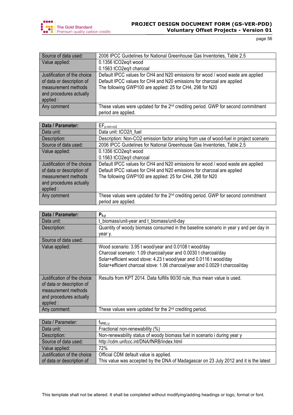![](_page_55_Picture_0.jpeg)

| Source of data used:        | 2006 IPCC Guidelines for National Greenhouse Gas Inventories, Table 2.5                       |
|-----------------------------|-----------------------------------------------------------------------------------------------|
| Value applied:              | 0.1356 tCO2eq/t wood                                                                          |
|                             | 0.1563 tCO2eg/t charcoal                                                                      |
| Justification of the choice | Default IPCC values for CH4 and N20 emissions for wood / wood waste are applied               |
| of data or description of   | Default IPCC values for CH4 and N20 emissions for charcoal are applied                        |
| measurement methods         | The following GWP100 are applied: 25 for CH4, 298 for N20                                     |
| and procedures actually     |                                                                                               |
| applied :                   |                                                                                               |
| Any comment                 | These values were updated for the 2 <sup>nd</sup> crediting period. GWP for second commitment |
|                             | period are applied.                                                                           |

| Data / Parameter:                                        | $EF_{p,non-co2}$                                                                                                                                          |
|----------------------------------------------------------|-----------------------------------------------------------------------------------------------------------------------------------------------------------|
| Data unit:                                               | Data unit: tCO2/t fuel                                                                                                                                    |
| Description:                                             | Description: Non-CO2 emission factor arising from use of wood-fuel in project scenario                                                                    |
| Source of data used:                                     | 2006 IPCC Guidelines for National Greenhouse Gas Inventories, Table 2.5                                                                                   |
| Value applied:                                           | 0.1356 tCO2eq/t wood                                                                                                                                      |
|                                                          | 0.1563 tCO2eg/t charcoal                                                                                                                                  |
| Justification of the choice<br>of data or description of | Default IPCC values for CH4 and N20 emissions for wood / wood waste are applied<br>Default IPCC values for CH4 and N20 emissions for charcoal are applied |
| measurement methods                                      | The following GWP100 are applied: 25 for CH4, 298 for N20                                                                                                 |
| and procedures actually                                  |                                                                                                                                                           |
| applied :                                                |                                                                                                                                                           |
| Any comment                                              | These values were updated for the $2^{nd}$ crediting period. GWP for second commitment<br>period are applied.                                             |

| Data / Parameter:           | $P_{b,y}$                                                                            |
|-----------------------------|--------------------------------------------------------------------------------------|
| Data unit:                  | t_biomass/unit-year and t_biomass/unit-day                                           |
| Description:                | Quantity of woody biomass consumed in the baseline scenario in year y and per day in |
|                             | year y.                                                                              |
| Source of data used:        |                                                                                      |
| Value applied:              | Wood scenario: 3.95 t wood/year and 0.0108 t wood/day                                |
|                             | Charcoal scenario: 1.09 charcoal/year and 0.0030 t charcoal/day                      |
|                             | Solar+efficient wood stove: 4.23 t wood/year and 0.0116 t wood/day                   |
|                             | Solar+efficient charcoal stove: 1.06 charcoal/year and 0.0029 t charcoal/day         |
|                             |                                                                                      |
| Justification of the choice | Results from KPT 2014. Data fulfills 90/30 rule, thus mean value is used.            |
| of data or description of   |                                                                                      |
| measurement methods         |                                                                                      |
| and procedures actually     |                                                                                      |
| applied:                    |                                                                                      |
| Any comment:                | These values were updated for the $2nd$ crediting period.                            |

| Data / Parameter:           | <b>TNRB,i,y</b>                                                                       |
|-----------------------------|---------------------------------------------------------------------------------------|
| Data unit:                  | Fractional non-renewability (%)                                                       |
| Description:                | Non-renewability status of woody biomass fuel in scenario i during year y             |
| Source of data used:        | http://cdm.unfccc.int/DNA/fNRB/index.html                                             |
| Value applied:              | 72%                                                                                   |
| Justification of the choice | Official CDM default value is applied.                                                |
| of data or description of   | This value was accepted by the DNA of Madagascar on 23 July 2012 and it is the latest |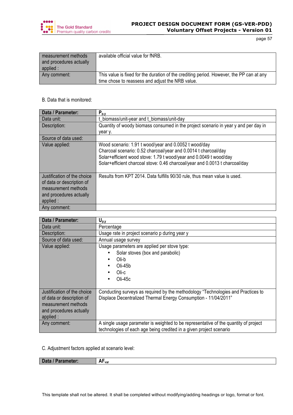![](_page_56_Picture_0.jpeg)

| measurement methods<br>and procedures actually<br>applied: | available official value for fNRB.                                                                                                           |
|------------------------------------------------------------|----------------------------------------------------------------------------------------------------------------------------------------------|
| Any comment:                                               | This value is fixed for the duration of the crediting period. However, the PP can at any<br>time chose to reassess and adjust the NRB value. |

## B. Data that is monitored:

| Data / Parameter:           | $P_{p,y}$                                                                           |
|-----------------------------|-------------------------------------------------------------------------------------|
| Data unit:                  | t biomass/unit-year and t biomass/unit-day                                          |
| Description:                | Quantity of woody biomass consumed in the project scenario in year y and per day in |
|                             | year y.                                                                             |
| Source of data used:        |                                                                                     |
| Value applied:              | Wood scenario: 1.91 t wood/year and 0.0052 t wood/day                               |
|                             | Charcoal scenario: 0.52 charcoal/year and 0.0014 t charcoal/day                     |
|                             | Solar+efficient wood stove: 1.79 t wood/year and 0.0049 t wood/day                  |
|                             | Solar+efficient charcoal stove: 0.46 charcoal/year and 0.0013 t charcoal/day        |
|                             |                                                                                     |
| Justification of the choice | Results from KPT 2014. Data fulfills 90/30 rule, thus mean value is used.           |
| of data or description of   |                                                                                     |
| measurement methods         |                                                                                     |
| and procedures actually     |                                                                                     |
| applied :                   |                                                                                     |
| Any comment:                |                                                                                     |

| Data / Parameter:                                                                                                       | $U_{p,y}$                                                                                                                                           |
|-------------------------------------------------------------------------------------------------------------------------|-----------------------------------------------------------------------------------------------------------------------------------------------------|
| Data unit:                                                                                                              | Percentage                                                                                                                                          |
| Description:                                                                                                            | Usage rate in project scenario p during year y                                                                                                      |
| Source of data used:                                                                                                    | Annual usage survey                                                                                                                                 |
| Value applied:                                                                                                          | Usage parameters are applied per stove type:<br>Solar stoves (box and parabolic)<br>Oli-b<br>Oli-45b<br>Oli-c<br>Oli-45c<br>$\bullet$               |
| Justification of the choice<br>of data or description of<br>measurement methods<br>and procedures actually<br>applied : | Conducting surveys as required by the methodology "Technologies and Practices to<br>Displace Decentralized Thermal Energy Consumption - 11/04/2011" |
| Any comment:                                                                                                            | A single usage parameter is weighted to be representative of the quantity of project                                                                |
|                                                                                                                         | technologies of each age being credited in a given project scenario                                                                                 |

C. Adjustment factors applied at scenario level:

| Data / Parameter:<br>$  -$ | . .<br>л.<br>H <sub>var</sub> |
|----------------------------|-------------------------------|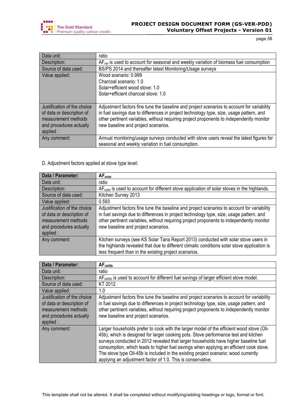![](_page_57_Picture_0.jpeg)

| Data unit:                  | ratio                                                                                      |
|-----------------------------|--------------------------------------------------------------------------------------------|
| Description:                | $AFvar$ is used to account for seasonal and weekly variation of biomass fuel consumption   |
| Source of data used:        | BS/PS 2014 and thereafter latest Monitoring/Usage surveys                                  |
| Value applied:              | Wood scenario: 0.999                                                                       |
|                             | Charcoal scenario: 1.0                                                                     |
|                             | Solar+efficient wood stove: 1.0                                                            |
|                             | Solar+efficient charcoal stove: 1.0                                                        |
|                             |                                                                                            |
| Justification of the choice | Adjustment factors fine tune the baseline and project scenarios to account for variability |
| of data or description of   | in fuel savings due to differences in project technology type, size, usage pattern, and    |
| measurement methods         | other pertinent variables, without requiring project proponents to independently monitor   |
| and procedures actually     | new baseline and project scenarios.                                                        |
| applied :                   |                                                                                            |
| Any comment:                | Annual monitoring/usage surveys conducted with stove users reveal the latest figures for   |
|                             | seasonal and weekly variation in fuel consumption.                                         |

# D. Adjustment factors applied at stove type level:

| Data / Parameter:                                                                                                       | $AF_{solar}$                                                                                                                                                                                                                                                                                                             |
|-------------------------------------------------------------------------------------------------------------------------|--------------------------------------------------------------------------------------------------------------------------------------------------------------------------------------------------------------------------------------------------------------------------------------------------------------------------|
| Data unit:                                                                                                              | ratio                                                                                                                                                                                                                                                                                                                    |
| Description:                                                                                                            | AF <sub>solar</sub> is used to account for different stove application of solar stoves in the highlands.                                                                                                                                                                                                                 |
| Source of data used:                                                                                                    | Kitchen Survey 2013                                                                                                                                                                                                                                                                                                      |
| Value applied:                                                                                                          | 0.593                                                                                                                                                                                                                                                                                                                    |
| Justification of the choice<br>of data or description of<br>measurement methods<br>and procedures actually<br>applied : | Adjustment factors fine tune the baseline and project scenarios to account for variability<br>in fuel savings due to differences in project technology type, size, usage pattern, and<br>other pertinent variables, without requiring project proponents to independently monitor<br>new baseline and project scenarios. |
| Any comment:                                                                                                            | Kitchen surveys (see KS Solar Tana Report 2013) conducted with solar stove users in<br>the highlands revealed that due to different climatic conditions solar stove application is<br>less frequent than in the existing project scenarios.                                                                              |

| Data / Parameter:                                                                                                      | AF <sub>oli45b</sub>                                                                                                                                                                                                                                                                                                                                                                                                                                                                                                   |
|------------------------------------------------------------------------------------------------------------------------|------------------------------------------------------------------------------------------------------------------------------------------------------------------------------------------------------------------------------------------------------------------------------------------------------------------------------------------------------------------------------------------------------------------------------------------------------------------------------------------------------------------------|
| Data unit:                                                                                                             | ratio                                                                                                                                                                                                                                                                                                                                                                                                                                                                                                                  |
| Description:                                                                                                           | $AFoli45b$ is used to account for different fuel savings of larger efficient stove model.                                                                                                                                                                                                                                                                                                                                                                                                                              |
| Source of data used:                                                                                                   | KT 2012                                                                                                                                                                                                                                                                                                                                                                                                                                                                                                                |
| Value applied:                                                                                                         | 1.0                                                                                                                                                                                                                                                                                                                                                                                                                                                                                                                    |
| Justification of the choice<br>of data or description of<br>measurement methods<br>and procedures actually<br>applied: | Adjustment factors fine tune the baseline and project scenarios to account for variability<br>in fuel savings due to differences in project technology type, size, usage pattern, and<br>other pertinent variables, without requiring project proponents to independently monitor<br>new baseline and project scenarios.                                                                                                                                                                                               |
| Any comment:                                                                                                           | Larger households prefer to cook with the larger model of the efficient wood stove (Oli-<br>45b), which is designed for larger cooking pots. Stove performance test and kitchen<br>surveys conducted in 2012 revealed that larger households have higher baseline fuel<br>consumption, which leads to higher fuel savings when applying an efficient cook stove.<br>The stove type Oli-45b is included in the existing project scenario: wood currently<br>applying an adjustment factor of 1.0. This is conservative. |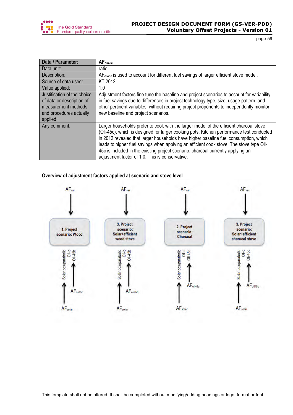![](_page_58_Picture_0.jpeg)

| Data / Parameter:           | AF <sub>oli45c</sub>                                                                                |
|-----------------------------|-----------------------------------------------------------------------------------------------------|
| Data unit:                  | ratio                                                                                               |
| Description:                | AF <sub>oli45c</sub> is used to account for different fuel savings of larger efficient stove model. |
| Source of data used:        | KT 2012                                                                                             |
| Value applied:              | 1.0                                                                                                 |
| Justification of the choice | Adjustment factors fine tune the baseline and project scenarios to account for variability          |
| of data or description of   | in fuel savings due to differences in project technology type, size, usage pattern, and             |
| measurement methods         | other pertinent variables, without requiring project proponents to independently monitor            |
| and procedures actually     | new baseline and project scenarios.                                                                 |
| applied :                   |                                                                                                     |
| Any comment:                | Larger households prefer to cook with the larger model of the efficient charcoal stove              |
|                             | (Oli-45c), which is designed for larger cooking pots. Kitchen performance test conducted            |
|                             | in 2012 revealed that larger households have higher baseline fuel consumption, which                |
|                             | leads to higher fuel savings when applying an efficient cook stove. The stove type Oli-             |
|                             | 45c is included in the existing project scenario: charcoal currently applying an                    |
|                             | adjustment factor of 1.0. This is conservative.                                                     |

# **Overview of adjustment factors applied at scenario and stove level**

![](_page_58_Figure_5.jpeg)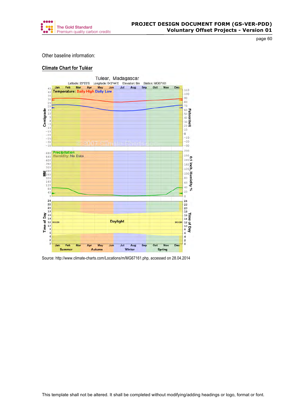![](_page_59_Picture_0.jpeg)

Other baseline information:

## **Climate Chart for Tuléar**

![](_page_59_Figure_5.jpeg)

Source: http://www.climate-charts.com/Locations/m/MG67161.php, accessed on 28.04.2014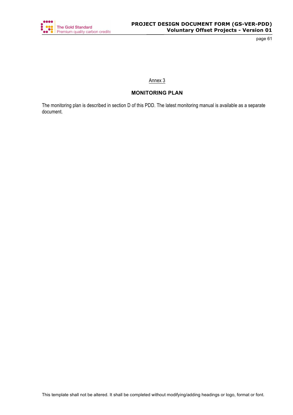![](_page_60_Picture_0.jpeg)

# Annex 3

# **MONITORING PLAN**

The monitoring plan is described in section D of this PDD. The latest monitoring manual is available as a separate document.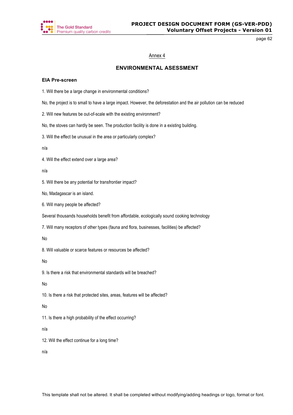![](_page_61_Picture_0.jpeg)

## Annex 4

# **ENVIRONMENTAL ASESSMENT**

#### **EIA Pre-screen**

1. Will there be a large change in environmental conditions?

No, the project is to small to have a large impact. However, the deforestation and the air pollution can be reduced

2. Will new features be out-of-scale with the existing environment?

No, the stoves can hardly be seen. The production facility is done in a existing building.

3. Will the effect be unusual in the area or particularly complex?

n/a

4. Will the effect extend over a large area?

n/a

5. Will there be any potential for transfrontier impact?

No, Madagascar is an island.

6. Will many people be affected?

Several thousands households benefit from affordable, ecologically sound cooking technology

7. Will many receptors of other types (fauna and flora, businesses, facilities) be affected?

No

8. Will valuable or scarce features or resources be affected?

No

9. Is there a risk that environmental standards will be breached?

No

10. Is there a risk that protected sites, areas, features will be affected?

No

11. Is there a high probability of the effect occurring?

n/a

12. Will the effect continue for a long time?

n/a